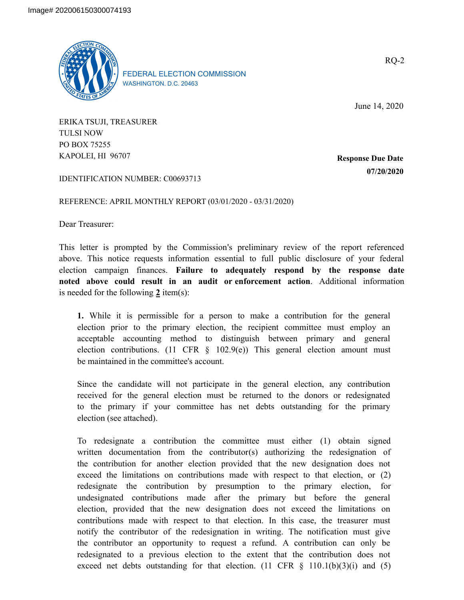

FEDERAL ELECTION COMMISSION WASHINGTON, D.C. 20463

June 14, 2020

ERIKA TSUJI, TREASURER TULSI NOW PO BOX 75255 KAPOLEI, HI 96707

**Response Due Date 07/20/2020**

IDENTIFICATION NUMBER: C00693713

REFERENCE: APRIL MONTHLY REPORT (03/01/2020 - 03/31/2020)

Dear Treasurer:

This letter is prompted by the Commission's preliminary review of the report referenced above. This notice requests information essential to full public disclosure of your federal election campaign finances. **Failure to adequately respond by the response date noted above could result in an audit or enforcement action**. Additional information is needed for the following **2** item(s):

**1.** While it is permissible for a person to make a contribution for the general election prior to the primary election, the recipient committee must employ an acceptable accounting method to distinguish between primary and general election contributions. (11 CFR  $\S$  102.9(e)) This general election amount must be maintained in the committee's account.

Since the candidate will not participate in the general election, any contribution received for the general election must be returned to the donors or redesignated to the primary if your committee has net debts outstanding for the primary election (see attached).

To redesignate a contribution the committee must either (1) obtain signed written documentation from the contributor(s) authorizing the redesignation of the contribution for another election provided that the new designation does not exceed the limitations on contributions made with respect to that election, or (2) redesignate the contribution by presumption to the primary election, for undesignated contributions made after the primary but before the general election, provided that the new designation does not exceed the limitations on contributions made with respect to that election. In this case, the treasurer must notify the contributor of the redesignation in writing. The notification must give the contributor an opportunity to request a refund. A contribution can only be redesignated to a previous election to the extent that the contribution does not exceed net debts outstanding for that election.  $(11 \text{ CFR } \S$   $110.1(b)(3)(i)$  and  $(5)$ 

RQ-2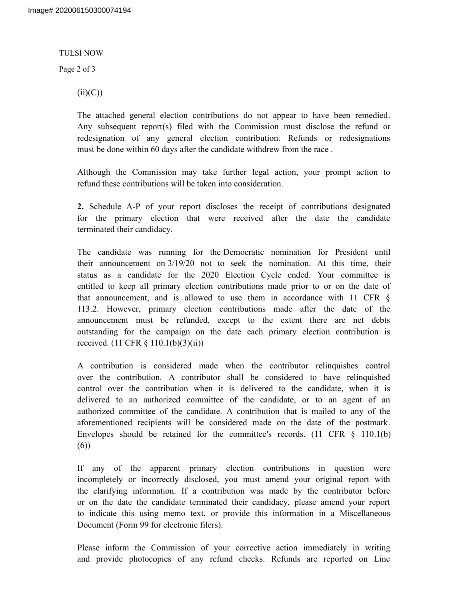#### TULSI NOW

Page 2 of 3

 $(ii)(C))$ 

The attached general election contributions do not appear to have been remedied. Any subsequent report(s) filed with the Commission must disclose the refund or redesignation of any general election contribution. Refunds or redesignations must be done within 60 days after the candidate withdrew from the race .

Although the Commission may take further legal action, your prompt action to refund these contributions will be taken into consideration.

**2.** Schedule A-P of your report discloses the receipt of contributions designated for the primary election that were received after the date the candidate terminated their candidacy.

The candidate was running for the Democratic nomination for President until their announcement on 3/19/20 not to seek the nomination. At this time, their status as a candidate for the 2020 Election Cycle ended. Your committee is entitled to keep all primary election contributions made prior to or on the date of that announcement, and is allowed to use them in accordance with 11 CFR § 113.2. However, primary election contributions made after the date of the announcement must be refunded, except to the extent there are net debts outstanding for the campaign on the date each primary election contribution is received. (11 CFR § 110.1(b)(3)(ii))

A contribution is considered made when the contributor relinquishes control over the contribution. A contributor shall be considered to have relinquished control over the contribution when it is delivered to the candidate, when it is delivered to an authorized committee of the candidate, or to an agent of an authorized committee of the candidate. A contribution that is mailed to any of the aforementioned recipients will be considered made on the date of the postmark. Envelopes should be retained for the committee's records.  $(11 \text{ CFR } \S$  110.1(b) (6))

If any of the apparent primary election contributions in question were incompletely or incorrectly disclosed, you must amend your original report with the clarifying information. If a contribution was made by the contributor before or on the date the candidate terminated their candidacy, please amend your report to indicate this using memo text, or provide this information in a Miscellaneous Document (Form 99 for electronic filers).

Please inform the Commission of your corrective action immediately in writing and provide photocopies of any refund checks. Refunds are reported on Line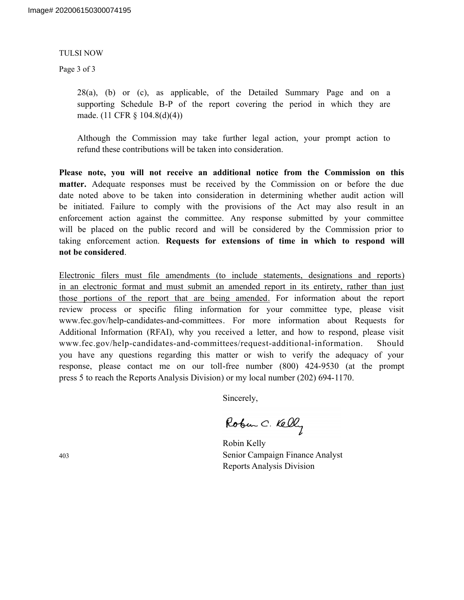#### TULSI NOW

Page 3 of 3

28(a), (b) or (c), as applicable, of the Detailed Summary Page and on a supporting Schedule B-P of the report covering the period in which they are made. (11 CFR § 104.8(d)(4))

Although the Commission may take further legal action, your prompt action to refund these contributions will be taken into consideration.

**Please note, you will not receive an additional notice from the Commission on this matter.** Adequate responses must be received by the Commission on or before the due date noted above to be taken into consideration in determining whether audit action will be initiated. Failure to comply with the provisions of the Act may also result in an enforcement action against the committee. Any response submitted by your committee will be placed on the public record and will be considered by the Commission prior to taking enforcement action. **Requests for extensions of time in which to respond will not be considered**.

Electronic filers must file amendments (to include statements, designations and reports) in an electronic format and must submit an amended report in its entirety, rather than just those portions of the report that are being amended. For information about the report review process or specific filing information for your committee type, please visit www.fec.gov/help-candidates-and-committees. For more information about Requests for Additional Information (RFAI), why you received a letter, and how to respond, please visit www.fec.gov/help-candidates-and-committees/request-additional-information. Should you have any questions regarding this matter or wish to verify the adequacy of your response, please contact me on our toll-free number (800) 424-9530 (at the prompt press 5 to reach the Reports Analysis Division) or my local number (202) 694-1170.

Sincerely,

Robin Kelly Senior Campaign Finance Analyst Reports Analysis Division

403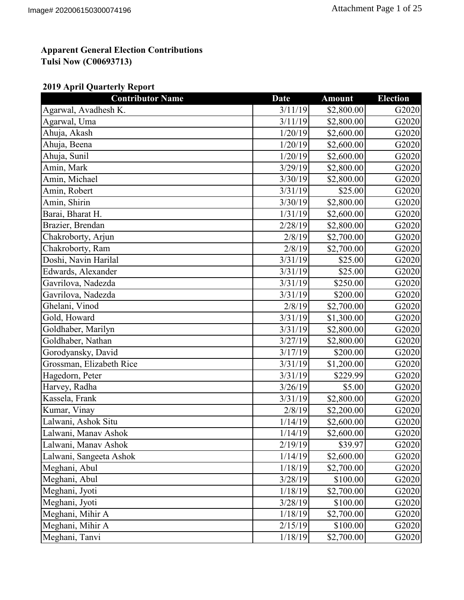### **2019 April Quarterly Report**

| <b>Contributor Name</b>  | <b>Date</b> | <b>Amount</b> | <b>Election</b> |
|--------------------------|-------------|---------------|-----------------|
| Agarwal, Avadhesh K.     | 3/11/19     | \$2,800.00    | G2020           |
| Agarwal, Uma             | 3/11/19     | \$2,800.00    | G2020           |
| Ahuja, Akash             | 1/20/19     | \$2,600.00    | G2020           |
| Ahuja, Beena             | 1/20/19     | \$2,600.00    | G2020           |
| Ahuja, Sunil             | 1/20/19     | \$2,600.00    | G2020           |
| Amin, Mark               | 3/29/19     | \$2,800.00    | G2020           |
| Amin, Michael            | 3/30/19     | \$2,800.00    | G2020           |
| Amin, Robert             | 3/31/19     | \$25.00       | G2020           |
| Amin, Shirin             | 3/30/19     | \$2,800.00    | G2020           |
| Barai, Bharat H.         | 1/31/19     | \$2,600.00    | G2020           |
| Brazier, Brendan         | 2/28/19     | \$2,800.00    | G2020           |
| Chakroborty, Arjun       | 2/8/19      | \$2,700.00    | G2020           |
| Chakroborty, Ram         | 2/8/19      | \$2,700.00    | G2020           |
| Doshi, Navin Harilal     | 3/31/19     | \$25.00       | G2020           |
| Edwards, Alexander       | 3/31/19     | \$25.00       | G2020           |
| Gavrilova, Nadezda       | 3/31/19     | \$250.00      | G2020           |
| Gavrilova, Nadezda       | 3/31/19     | \$200.00      | G2020           |
| Ghelani, Vinod           | 2/8/19      | \$2,700.00    | G2020           |
| Gold, Howard             | 3/31/19     | \$1,300.00    | G2020           |
| Goldhaber, Marilyn       | 3/31/19     | \$2,800.00    | G2020           |
| Goldhaber, Nathan        | 3/27/19     | \$2,800.00    | G2020           |
| Gorodyansky, David       | 3/17/19     | \$200.00      | G2020           |
| Grossman, Elizabeth Rice | 3/31/19     | \$1,200.00    | G2020           |
| Hagedorn, Peter          | 3/31/19     | \$229.99      | G2020           |
| Harvey, Radha            | 3/26/19     | \$5.00        | G2020           |
| Kassela, Frank           | 3/31/19     | \$2,800.00    | G2020           |
| Kumar, Vinay             | 2/8/19      | \$2,200.00    | G2020           |
| Lalwani, Ashok Situ      | 1/14/19     | \$2,600.00    | G2020           |
| Lalwani, Manav Ashok     | 1/14/19     | \$2,600.00    | G2020           |
| Lalwani, Manav Ashok     | 2/19/19     | \$39.97       | G2020           |
| Lalwani, Sangeeta Ashok  | 1/14/19     | \$2,600.00    | G2020           |
| Meghani, Abul            | 1/18/19     | \$2,700.00    | G2020           |
| Meghani, Abul            | 3/28/19     | \$100.00      | G2020           |
| Meghani, Jyoti           | 1/18/19     | \$2,700.00    | G2020           |
| Meghani, Jyoti           | 3/28/19     | \$100.00      | G2020           |
| Meghani, Mihir A         | 1/18/19     | \$2,700.00    | G2020           |
| Meghani, Mihir A         | 2/15/19     | \$100.00      | G2020           |
| Meghani, Tanvi           | 1/18/19     | \$2,700.00    | G2020           |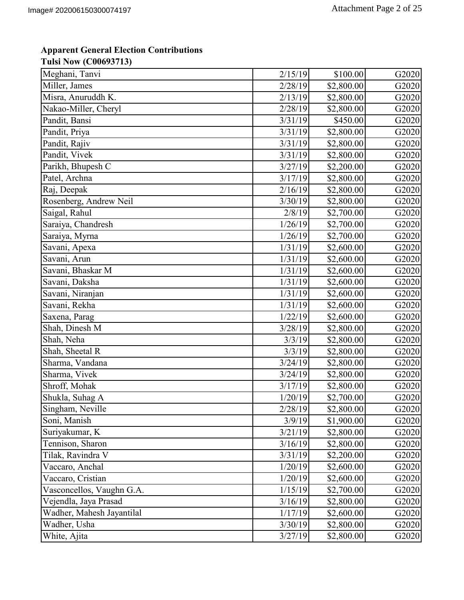| Meghani, Tanvi            | 2/15/19 | \$100.00   | G2020 |
|---------------------------|---------|------------|-------|
| Miller, James             | 2/28/19 | \$2,800.00 | G2020 |
| Misra, Anuruddh K.        | 2/13/19 | \$2,800.00 | G2020 |
| Nakao-Miller, Cheryl      | 2/28/19 | \$2,800.00 | G2020 |
| Pandit, Bansi             | 3/31/19 | \$450.00   | G2020 |
| Pandit, Priya             | 3/31/19 | \$2,800.00 | G2020 |
| Pandit, Rajiv             | 3/31/19 | \$2,800.00 | G2020 |
| Pandit, Vivek             | 3/31/19 | \$2,800.00 | G2020 |
| Parikh, Bhupesh C         | 3/27/19 | \$2,200.00 | G2020 |
| Patel, Archna             | 3/17/19 | \$2,800.00 | G2020 |
| Raj, Deepak               | 2/16/19 | \$2,800.00 | G2020 |
| Rosenberg, Andrew Neil    | 3/30/19 | \$2,800.00 | G2020 |
| Saigal, Rahul             | 2/8/19  | \$2,700.00 | G2020 |
| Saraiya, Chandresh        | 1/26/19 | \$2,700.00 | G2020 |
| Saraiya, Myrna            | 1/26/19 | \$2,700.00 | G2020 |
| Savani, Apexa             | 1/31/19 | \$2,600.00 | G2020 |
| Savani, Arun              | 1/31/19 | \$2,600.00 | G2020 |
| Savani, Bhaskar M         | 1/31/19 | \$2,600.00 | G2020 |
| Savani, Daksha            | 1/31/19 | \$2,600.00 | G2020 |
| Savani, Niranjan          | 1/31/19 | \$2,600.00 | G2020 |
| Savani, Rekha             | 1/31/19 | \$2,600.00 | G2020 |
| Saxena, Parag             | 1/22/19 | \$2,600.00 | G2020 |
| Shah, Dinesh M            | 3/28/19 | \$2,800.00 | G2020 |
| Shah, Neha                | 3/3/19  | \$2,800.00 | G2020 |
| Shah, Sheetal R           | 3/3/19  | \$2,800.00 | G2020 |
| Sharma, Vandana           | 3/24/19 | \$2,800.00 | G2020 |
| Sharma, Vivek             | 3/24/19 | \$2,800.00 | G2020 |
| Shroff, Mohak             | 3/17/19 | \$2,800.00 | G2020 |
| Shukla, Suhag A           | 1/20/19 | \$2,700.00 | G2020 |
| Singham, Neville          | 2/28/19 | \$2,800.00 | G2020 |
| Soni, Manish              | 3/9/19  | \$1,900.00 | G2020 |
| Suriyakumar, K            | 3/21/19 | \$2,800.00 | G2020 |
| Tennison, Sharon          | 3/16/19 | \$2,800.00 | G2020 |
| Tilak, Ravindra V         | 3/31/19 | \$2,200.00 | G2020 |
| Vaccaro, Anchal           | 1/20/19 | \$2,600.00 | G2020 |
| Vaccaro, Cristian         | 1/20/19 | \$2,600.00 | G2020 |
| Vasconcellos, Vaughn G.A. | 1/15/19 | \$2,700.00 | G2020 |
| Vejendla, Jaya Prasad     | 3/16/19 | \$2,800.00 | G2020 |
| Wadher, Mahesh Jayantilal | 1/17/19 | \$2,600.00 | G2020 |
| Wadher, Usha              | 3/30/19 | \$2,800.00 | G2020 |
| White, Ajita              | 3/27/19 | \$2,800.00 | G2020 |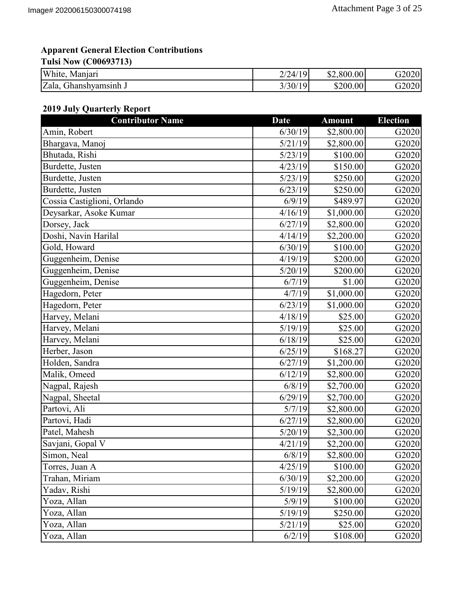| White,<br>Maniari        | 2/24/19     | \$2,800.00 | G2020 |
|--------------------------|-------------|------------|-------|
| Zala,<br>Jhanshvamsınh J | /30/19<br>J | \$200.00   | G2020 |

### **2019 July Quarterly Report**

| <b>Contributor Name</b>     | <b>Date</b> | <b>Amount</b> | <b>Election</b> |
|-----------------------------|-------------|---------------|-----------------|
| Amin, Robert                | 6/30/19     | \$2,800.00    | G2020           |
| Bhargava, Manoj             | 5/21/19     | \$2,800.00    | G2020           |
| Bhutada, Rishi              | 5/23/19     | \$100.00      | G2020           |
| Burdette, Justen            | 4/23/19     | \$150.00      | G2020           |
| Burdette, Justen            | 5/23/19     | \$250.00      | G2020           |
| Burdette, Justen            | 6/23/19     | \$250.00      | G2020           |
| Cossia Castiglioni, Orlando | 6/9/19      | \$489.97      | G2020           |
| Deysarkar, Asoke Kumar      | 4/16/19     | \$1,000.00    | G2020           |
| Dorsey, Jack                | 6/27/19     | \$2,800.00    | G2020           |
| Doshi, Navin Harilal        | 4/14/19     | \$2,200.00    | G2020           |
| Gold, Howard                | 6/30/19     | \$100.00      | G2020           |
| Guggenheim, Denise          | 4/19/19     | \$200.00      | G2020           |
| Guggenheim, Denise          | 5/20/19     | \$200.00      | G2020           |
| Guggenheim, Denise          | 6/7/19      | \$1.00        | G2020           |
| Hagedorn, Peter             | 4/7/19      | \$1,000.00    | G2020           |
| Hagedorn, Peter             | 6/23/19     | \$1,000.00    | G2020           |
| Harvey, Melani              | 4/18/19     | \$25.00       | G2020           |
| Harvey, Melani              | 5/19/19     | \$25.00       | G2020           |
| Harvey, Melani              | 6/18/19     | \$25.00       | G2020           |
| Herber, Jason               | 6/25/19     | \$168.27      | G2020           |
| Holden, Sandra              | 6/27/19     | \$1,200.00    | G2020           |
| Malik, Omeed                | 6/12/19     | \$2,800.00    | G2020           |
| Nagpal, Rajesh              | 6/8/19      | \$2,700.00    | G2020           |
| Nagpal, Sheetal             | 6/29/19     | \$2,700.00    | G2020           |
| Partovi, Ali                | 5/7/19      | \$2,800.00    | G2020           |
| Partovi, Hadi               | 6/27/19     | \$2,800.00    | G2020           |
| Patel, Mahesh               | 5/20/19     | \$2,300.00    | G2020           |
| Savjani, Gopal V            | 4/21/19     | \$2,200.00    | G2020           |
| Simon, Neal                 | 6/8/19      | \$2,800.00    | G2020           |
| Torres, Juan A              | 4/25/19     | \$100.00      | G2020           |
| Trahan, Miriam              | 6/30/19     | \$2,200.00    | G2020           |
| Yadav, Rishi                | 5/19/19     | \$2,800.00    | G2020           |
| Yoza, Allan                 | 5/9/19      | \$100.00      | G2020           |
| Yoza, Allan                 | 5/19/19     | \$250.00      | G2020           |
| Yoza, Allan                 | 5/21/19     | \$25.00       | G2020           |
| Yoza, Allan                 | 6/2/19      | \$108.00      | G2020           |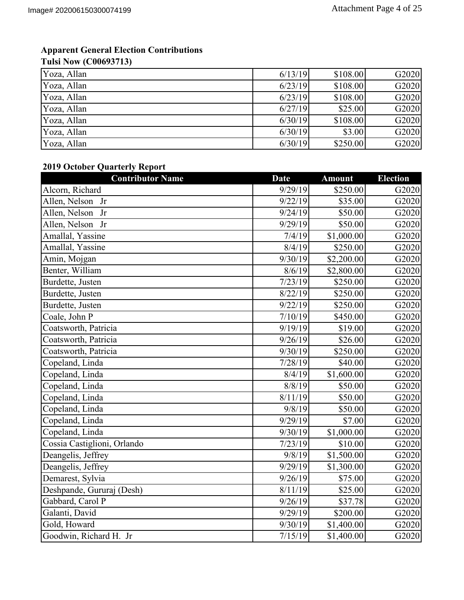| Yoza, Allan | 6/13/19 | \$108.00 | G2020 |
|-------------|---------|----------|-------|
| Yoza, Allan | 6/23/19 | \$108.00 | G2020 |
| Yoza, Allan | 6/23/19 | \$108.00 | G2020 |
| Yoza, Allan | 6/27/19 | \$25.00  | G2020 |
| Yoza, Allan | 6/30/19 | \$108.00 | G2020 |
| Yoza, Allan | 6/30/19 | \$3.00   | G2020 |
| Yoza, Allan | 6/30/19 | \$250.00 | G2020 |

## **2019 October Quarterly Report**

| <b>Contributor Name</b>     | <b>Date</b> | <b>Amount</b> | <b>Election</b> |
|-----------------------------|-------------|---------------|-----------------|
| Alcorn, Richard             | 9/29/19     | \$250.00      | G2020           |
| Allen, Nelson Jr            | 9/22/19     | \$35.00       | G2020           |
| Allen, Nelson<br>Jr         | 9/24/19     | \$50.00       | G2020           |
| Allen, Nelson Jr            | 9/29/19     | \$50.00       | G2020           |
| Amallal, Yassine            | 7/4/19      | \$1,000.00    | G2020           |
| Amallal, Yassine            | 8/4/19      | \$250.00      | G2020           |
| Amin, Mojgan                | 9/30/19     | \$2,200.00    | G2020           |
| Benter, William             | 8/6/19      | \$2,800.00    | G2020           |
| Burdette, Justen            | 7/23/19     | \$250.00      | G2020           |
| Burdette, Justen            | 8/22/19     | \$250.00      | G2020           |
| Burdette, Justen            | 9/22/19     | \$250.00      | G2020           |
| Coale, John P               | 7/10/19     | \$450.00      | G2020           |
| Coatsworth, Patricia        | 9/19/19     | \$19.00       | G2020           |
| Coatsworth, Patricia        | 9/26/19     | \$26.00       | G2020           |
| Coatsworth, Patricia        | 9/30/19     | \$250.00      | G2020           |
| Copeland, Linda             | 7/28/19     | \$40.00       | G2020           |
| Copeland, Linda             | 8/4/19      | \$1,600.00    | G2020           |
| Copeland, Linda             | 8/8/19      | \$50.00       | G2020           |
| Copeland, Linda             | 8/11/19     | \$50.00       | G2020           |
| Copeland, Linda             | 9/8/19      | \$50.00       | G2020           |
| Copeland, Linda             | 9/29/19     | \$7.00        | G2020           |
| Copeland, Linda             | 9/30/19     | \$1,000.00    | G2020           |
| Cossia Castiglioni, Orlando | 7/23/19     | \$10.00       | G2020           |
| Deangelis, Jeffrey          | 9/8/19      | \$1,500.00    | G2020           |
| Deangelis, Jeffrey          | 9/29/19     | \$1,300.00    | G2020           |
| Demarest, Sylvia            | 9/26/19     | \$75.00       | G2020           |
| Deshpande, Gururaj (Desh)   | 8/11/19     | \$25.00       | G2020           |
| Gabbard, Carol P            | 9/26/19     | \$37.78       | G2020           |
| Galanti, David              | 9/29/19     | \$200.00      | G2020           |
| Gold, Howard                | 9/30/19     | \$1,400.00    | G2020           |
| Goodwin, Richard H. Jr      | 7/15/19     | \$1,400.00    | G2020           |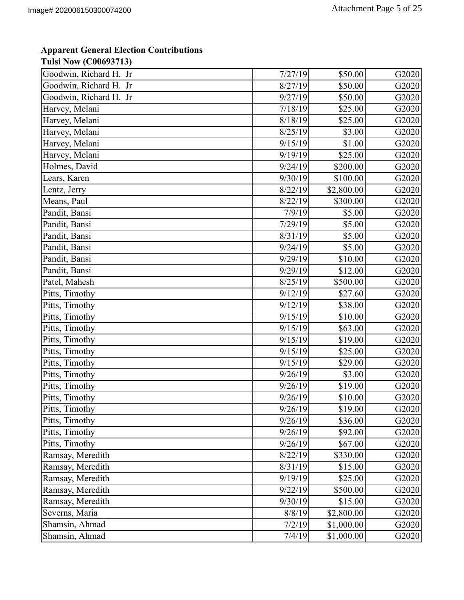## **Apparent General Election Contributions**

#### **Tulsi Now (C00693713)**

| Goodwin, Richard H. Jr | 7/27/19 | \$50.00    | G2020 |
|------------------------|---------|------------|-------|
| Goodwin, Richard H. Jr | 8/27/19 | \$50.00    | G2020 |
| Goodwin, Richard H. Jr | 9/27/19 | \$50.00    | G2020 |
| Harvey, Melani         | 7/18/19 | \$25.00    | G2020 |
| Harvey, Melani         | 8/18/19 | \$25.00    | G2020 |
| Harvey, Melani         | 8/25/19 | \$3.00     | G2020 |
| Harvey, Melani         | 9/15/19 | \$1.00     | G2020 |
| Harvey, Melani         | 9/19/19 | \$25.00    | G2020 |
| Holmes, David          | 9/24/19 | \$200.00   | G2020 |
| Lears, Karen           | 9/30/19 | \$100.00   | G2020 |
| Lentz, Jerry           | 8/22/19 | \$2,800.00 | G2020 |
| Means, Paul            | 8/22/19 | \$300.00   | G2020 |
| Pandit, Bansi          | 7/9/19  | \$5.00     | G2020 |
| Pandit, Bansi          | 7/29/19 | \$5.00     | G2020 |
| Pandit, Bansi          | 8/31/19 | \$5.00     | G2020 |
| Pandit, Bansi          | 9/24/19 | \$5.00     | G2020 |
| Pandit, Bansi          | 9/29/19 | \$10.00    | G2020 |
| Pandit, Bansi          | 9/29/19 | \$12.00    | G2020 |
| Patel, Mahesh          | 8/25/19 | \$500.00   | G2020 |
| Pitts, Timothy         | 9/12/19 | \$27.60    | G2020 |
| Pitts, Timothy         | 9/12/19 | \$38.00    | G2020 |
| Pitts, Timothy         | 9/15/19 | \$10.00    | G2020 |
| Pitts, Timothy         | 9/15/19 | \$63.00    | G2020 |
| Pitts, Timothy         | 9/15/19 | \$19.00    | G2020 |
| Pitts, Timothy         | 9/15/19 | \$25.00    | G2020 |
| Pitts, Timothy         | 9/15/19 | \$29.00    | G2020 |
| Pitts, Timothy         | 9/26/19 | \$3.00     | G2020 |
| Pitts, Timothy         | 9/26/19 | \$19.00    | G2020 |
| Pitts, Timothy         | 9/26/19 | \$10.00    | G2020 |
| Pitts, Timothy         | 9/26/19 | \$19.00    | G2020 |
| Pitts, Timothy         | 9/26/19 | \$36.00    | G2020 |
| Pitts, Timothy         | 9/26/19 | \$92.00    | G2020 |
| Pitts, Timothy         | 9/26/19 | \$67.00    | G2020 |
| Ramsay, Meredith       | 8/22/19 | \$330.00   | G2020 |
| Ramsay, Meredith       | 8/31/19 | \$15.00    | G2020 |
| Ramsay, Meredith       | 9/19/19 | \$25.00    | G2020 |
| Ramsay, Meredith       | 9/22/19 | \$500.00   | G2020 |
| Ramsay, Meredith       | 9/30/19 | \$15.00    | G2020 |
| Severns, Maria         | 8/8/19  | \$2,800.00 | G2020 |
| Shamsin, Ahmad         | 7/2/19  | \$1,000.00 | G2020 |
| Shamsin, Ahmad         | 7/4/19  | \$1,000.00 | G2020 |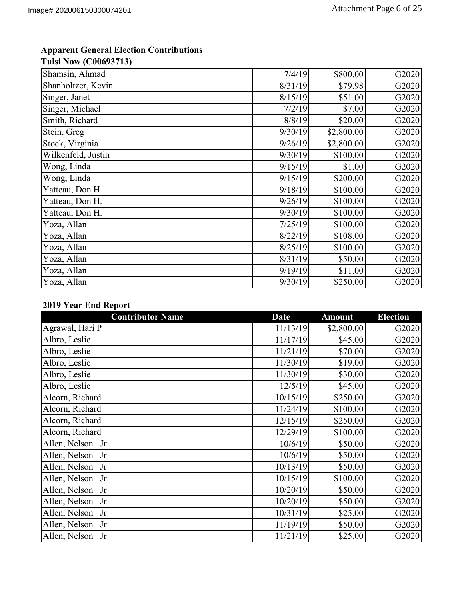| Shamsin, Ahmad     | 7/4/19  | \$800.00   | G2020 |
|--------------------|---------|------------|-------|
| Shanholtzer, Kevin | 8/31/19 | \$79.98    | G2020 |
| Singer, Janet      | 8/15/19 | \$51.00    | G2020 |
| Singer, Michael    | 7/2/19  | \$7.00     | G2020 |
| Smith, Richard     | 8/8/19  | \$20.00    | G2020 |
| Stein, Greg        | 9/30/19 | \$2,800.00 | G2020 |
| Stock, Virginia    | 9/26/19 | \$2,800.00 | G2020 |
| Wilkenfeld, Justin | 9/30/19 | \$100.00   | G2020 |
| Wong, Linda        | 9/15/19 | \$1.00     | G2020 |
| Wong, Linda        | 9/15/19 | \$200.00   | G2020 |
| Yatteau, Don H.    | 9/18/19 | \$100.00   | G2020 |
| Yatteau, Don H.    | 9/26/19 | \$100.00   | G2020 |
| Yatteau, Don H.    | 9/30/19 | \$100.00   | G2020 |
| Yoza, Allan        | 7/25/19 | \$100.00   | G2020 |
| Yoza, Allan        | 8/22/19 | \$108.00   | G2020 |
| Yoza, Allan        | 8/25/19 | \$100.00   | G2020 |
| Yoza, Allan        | 8/31/19 | \$50.00    | G2020 |
| Yoza, Allan        | 9/19/19 | \$11.00    | G2020 |
| Yoza, Allan        | 9/30/19 | \$250.00   | G2020 |

### **2019 Year End Report**

| <b>Contributor Name</b> | <b>Date</b> | <b>Amount</b> | <b>Election</b> |
|-------------------------|-------------|---------------|-----------------|
| Agrawal, Hari P         | 11/13/19    | \$2,800.00    | G2020           |
| Albro, Leslie           | 11/17/19    | \$45.00       | G2020           |
| Albro, Leslie           | 11/21/19    | \$70.00       | G2020           |
| Albro, Leslie           | 11/30/19    | \$19.00       | G2020           |
| Albro, Leslie           | 11/30/19    | \$30.00       | G2020           |
| Albro, Leslie           | 12/5/19     | \$45.00       | G2020           |
| Alcorn, Richard         | 10/15/19    | \$250.00      | G2020           |
| Alcorn, Richard         | 11/24/19    | \$100.00      | G2020           |
| Alcorn, Richard         | 12/15/19    | \$250.00      | G2020           |
| Alcorn, Richard         | 12/29/19    | \$100.00      | G2020           |
| Allen, Nelson Jr        | 10/6/19     | \$50.00       | G2020           |
| Allen, Nelson Jr        | 10/6/19     | \$50.00       | G2020           |
| Allen, Nelson Jr        | 10/13/19    | \$50.00       | G2020           |
| Allen, Nelson Jr        | 10/15/19    | \$100.00      | G2020           |
| Allen, Nelson Jr        | 10/20/19    | \$50.00       | G2020           |
| Allen, Nelson Jr        | 10/20/19    | \$50.00       | G2020           |
| Allen, Nelson Jr        | 10/31/19    | \$25.00       | G2020           |
| Allen, Nelson Jr        | 11/19/19    | \$50.00       | G2020           |
| Allen, Nelson Jr        | 11/21/19    | \$25.00       | G2020           |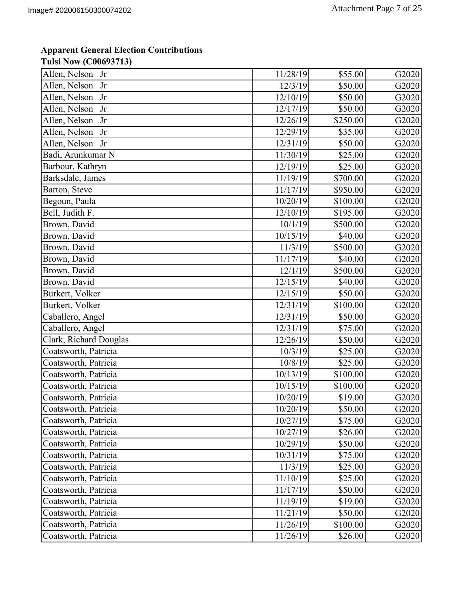| Allen, Nelson<br>Jr    | 11/28/19 | \$55.00  | G2020 |
|------------------------|----------|----------|-------|
| Allen, Nelson<br>Jr    | 12/3/19  | \$50.00  | G2020 |
| Allen, Nelson<br>Jr    | 12/10/19 | \$50.00  | G2020 |
| Allen, Nelson<br>Jr    | 12/17/19 | \$50.00  | G2020 |
| Allen, Nelson<br>Jr    | 12/26/19 | \$250.00 | G2020 |
| Allen, Nelson<br>Jr    | 12/29/19 | \$35.00  | G2020 |
| Allen, Nelson Jr       | 12/31/19 | \$50.00  | G2020 |
| Badi, Arunkumar N      | 11/30/19 | \$25.00  | G2020 |
| Barbour, Kathryn       | 12/19/19 | \$25.00  | G2020 |
| Barksdale, James       | 11/19/19 | \$700.00 | G2020 |
| Barton, Steve          | 11/17/19 | \$950.00 | G2020 |
| Begoun, Paula          | 10/20/19 | \$100.00 | G2020 |
| Bell, Judith F.        | 12/10/19 | \$195.00 | G2020 |
| Brown, David           | 10/1/19  | \$500.00 | G2020 |
| Brown, David           | 10/15/19 | \$40.00  | G2020 |
| Brown, David           | 11/3/19  | \$500.00 | G2020 |
| Brown, David           | 11/17/19 | \$40.00  | G2020 |
| Brown, David           | 12/1/19  | \$500.00 | G2020 |
| Brown, David           | 12/15/19 | \$40.00  | G2020 |
| Burkert, Volker        | 12/15/19 | \$50.00  | G2020 |
| Burkert, Volker        | 12/31/19 | \$100.00 | G2020 |
| Caballero, Angel       | 12/31/19 | \$50.00  | G2020 |
| Caballero, Angel       | 12/31/19 | \$75.00  | G2020 |
| Clark, Richard Douglas | 12/26/19 | \$50.00  | G2020 |
| Coatsworth, Patricia   | 10/3/19  | \$25.00  | G2020 |
| Coatsworth, Patricia   | 10/8/19  | \$25.00  | G2020 |
| Coatsworth, Patricia   | 10/13/19 | \$100.00 | G2020 |
| Coatsworth, Patricia   | 10/15/19 | \$100.00 | G2020 |
| Coatsworth, Patricia   | 10/20/19 | \$19.00  | G2020 |
| Coatsworth, Patricia   | 10/20/19 | \$50.00  | G2020 |
| Coatsworth, Patricia   | 10/27/19 | \$75.00  | G2020 |
| Coatsworth, Patricia   | 10/27/19 | \$26.00  | G2020 |
| Coatsworth, Patricia   | 10/29/19 | \$50.00  | G2020 |
| Coatsworth, Patricia   | 10/31/19 | \$75.00  | G2020 |
| Coatsworth, Patricia   | 11/3/19  | \$25.00  | G2020 |
| Coatsworth, Patricia   | 11/10/19 | \$25.00  | G2020 |
| Coatsworth, Patricia   | 11/17/19 | \$50.00  | G2020 |
| Coatsworth, Patricia   | 11/19/19 | \$19.00  | G2020 |
| Coatsworth, Patricia   | 11/21/19 | \$50.00  | G2020 |
| Coatsworth, Patricia   | 11/26/19 | \$100.00 | G2020 |
| Coatsworth, Patricia   | 11/26/19 | \$26.00  | G2020 |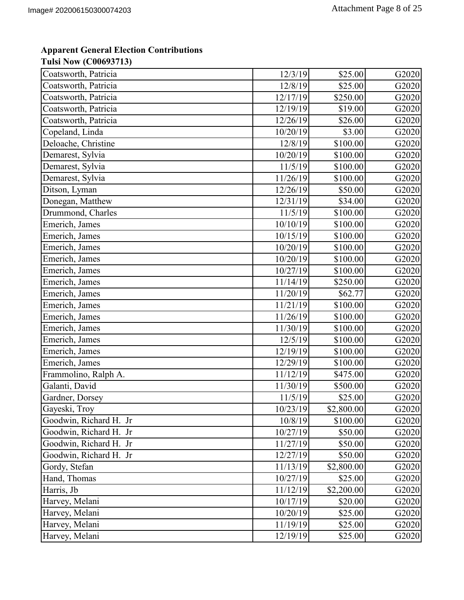| Coatsworth, Patricia   | 12/3/19  | \$25.00    | G2020 |
|------------------------|----------|------------|-------|
| Coatsworth, Patricia   | 12/8/19  | \$25.00    | G2020 |
| Coatsworth, Patricia   | 12/17/19 | \$250.00   | G2020 |
| Coatsworth, Patricia   | 12/19/19 | \$19.00    | G2020 |
| Coatsworth, Patricia   | 12/26/19 | \$26.00    | G2020 |
| Copeland, Linda        | 10/20/19 | \$3.00     | G2020 |
| Deloache, Christine    | 12/8/19  | \$100.00   | G2020 |
| Demarest, Sylvia       | 10/20/19 | \$100.00   | G2020 |
| Demarest, Sylvia       | 11/5/19  | \$100.00   | G2020 |
| Demarest, Sylvia       | 11/26/19 | \$100.00   | G2020 |
| Ditson, Lyman          | 12/26/19 | \$50.00    | G2020 |
| Donegan, Matthew       | 12/31/19 | \$34.00    | G2020 |
| Drummond, Charles      | 11/5/19  | \$100.00   | G2020 |
| Emerich, James         | 10/10/19 | \$100.00   | G2020 |
| Emerich, James         | 10/15/19 | \$100.00   | G2020 |
| Emerich, James         | 10/20/19 | \$100.00   | G2020 |
| Emerich, James         | 10/20/19 | \$100.00   | G2020 |
| Emerich, James         | 10/27/19 | \$100.00   | G2020 |
| Emerich, James         | 11/14/19 | \$250.00   | G2020 |
| Emerich, James         | 11/20/19 | \$62.77    | G2020 |
| Emerich, James         | 11/21/19 | \$100.00   | G2020 |
| Emerich, James         | 11/26/19 | \$100.00   | G2020 |
| Emerich, James         | 11/30/19 | \$100.00   | G2020 |
| Emerich, James         | 12/5/19  | \$100.00   | G2020 |
| Emerich, James         | 12/19/19 | \$100.00   | G2020 |
| Emerich, James         | 12/29/19 | \$100.00   | G2020 |
| Frammolino, Ralph A.   | 11/12/19 | \$475.00   | G2020 |
| Galanti, David         | 11/30/19 | \$500.00   | G2020 |
| Gardner, Dorsey        | 11/5/19  | \$25.00    | G2020 |
| Gayeski, Troy          | 10/23/19 | \$2,800.00 | G2020 |
| Goodwin, Richard H. Jr | 10/8/19  | \$100.00   | G2020 |
| Goodwin, Richard H. Jr | 10/27/19 | \$50.00    | G2020 |
| Goodwin, Richard H. Jr | 11/27/19 | \$50.00    | G2020 |
| Goodwin, Richard H. Jr | 12/27/19 | \$50.00    | G2020 |
| Gordy, Stefan          | 11/13/19 | \$2,800.00 | G2020 |
| Hand, Thomas           | 10/27/19 | \$25.00    | G2020 |
| Harris, Jb             | 11/12/19 | \$2,200.00 | G2020 |
| Harvey, Melani         | 10/17/19 | \$20.00    | G2020 |
| Harvey, Melani         | 10/20/19 | \$25.00    | G2020 |
| Harvey, Melani         | 11/19/19 | \$25.00    | G2020 |
| Harvey, Melani         | 12/19/19 | \$25.00    | G2020 |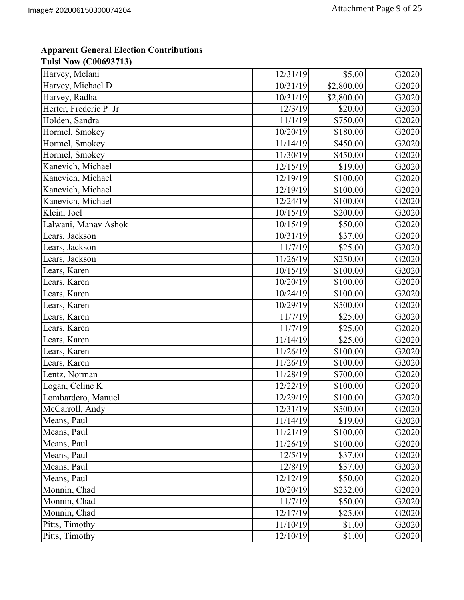| Harvey, Melani        | 12/31/19 | \$5.00     | G2020 |
|-----------------------|----------|------------|-------|
| Harvey, Michael D     | 10/31/19 | \$2,800.00 | G2020 |
| Harvey, Radha         | 10/31/19 | \$2,800.00 | G2020 |
| Herter, Frederic P Jr | 12/3/19  | \$20.00    | G2020 |
| Holden, Sandra        | 11/1/19  | \$750.00   | G2020 |
| Hormel, Smokey        | 10/20/19 | \$180.00   | G2020 |
| Hormel, Smokey        | 11/14/19 | \$450.00   | G2020 |
| Hormel, Smokey        | 11/30/19 | \$450.00   | G2020 |
| Kanevich, Michael     | 12/15/19 | \$19.00    | G2020 |
| Kanevich, Michael     | 12/19/19 | \$100.00   | G2020 |
| Kanevich, Michael     | 12/19/19 | \$100.00   | G2020 |
| Kanevich, Michael     | 12/24/19 | \$100.00   | G2020 |
| Klein, Joel           | 10/15/19 | \$200.00   | G2020 |
| Lalwani, Manav Ashok  | 10/15/19 | \$50.00    | G2020 |
| Lears, Jackson        | 10/31/19 | \$37.00    | G2020 |
| Lears, Jackson        | 11/7/19  | \$25.00    | G2020 |
| Lears, Jackson        | 11/26/19 | \$250.00   | G2020 |
| Lears, Karen          | 10/15/19 | \$100.00   | G2020 |
| Lears, Karen          | 10/20/19 | \$100.00   | G2020 |
| Lears, Karen          | 10/24/19 | \$100.00   | G2020 |
| Lears, Karen          | 10/29/19 | \$500.00   | G2020 |
| Lears, Karen          | 11/7/19  | \$25.00    | G2020 |
| Lears, Karen          | 11/7/19  | \$25.00    | G2020 |
| Lears, Karen          | 11/14/19 | \$25.00    | G2020 |
| Lears, Karen          | 11/26/19 | \$100.00   | G2020 |
| Lears, Karen          | 11/26/19 | \$100.00   | G2020 |
| Lentz, Norman         | 11/28/19 | \$700.00   | G2020 |
| Logan, Celine K       | 12/22/19 | \$100.00   | G2020 |
| Lombardero, Manuel    | 12/29/19 | \$100.00   | G2020 |
| McCarroll, Andy       | 12/31/19 | \$500.00   | G2020 |
| Means, Paul           | 11/14/19 | \$19.00    | G2020 |
| Means, Paul           | 11/21/19 | \$100.00   | G2020 |
| Means, Paul           | 11/26/19 | \$100.00   | G2020 |
| Means, Paul           | 12/5/19  | \$37.00    | G2020 |
| Means, Paul           | 12/8/19  | \$37.00    | G2020 |
| Means, Paul           | 12/12/19 | \$50.00    | G2020 |
| Monnin, Chad          | 10/20/19 | \$232.00   | G2020 |
| Monnin, Chad          | 11/7/19  | \$50.00    | G2020 |
| Monnin, Chad          | 12/17/19 | \$25.00    | G2020 |
| Pitts, Timothy        | 11/10/19 | \$1.00     | G2020 |
| Pitts, Timothy        | 12/10/19 | \$1.00     | G2020 |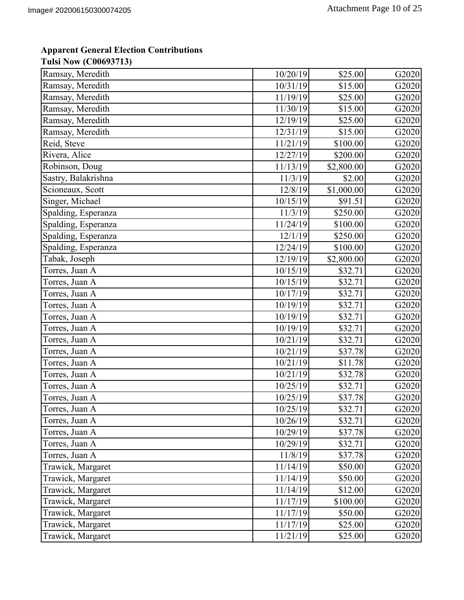| Ramsay, Meredith    | 10/20/19 | \$25.00    | G2020 |
|---------------------|----------|------------|-------|
| Ramsay, Meredith    | 10/31/19 | \$15.00    | G2020 |
| Ramsay, Meredith    | 11/19/19 | \$25.00    | G2020 |
| Ramsay, Meredith    | 11/30/19 | \$15.00    | G2020 |
| Ramsay, Meredith    | 12/19/19 | \$25.00    | G2020 |
| Ramsay, Meredith    | 12/31/19 | \$15.00    | G2020 |
| Reid, Steve         | 11/21/19 | \$100.00   | G2020 |
| Rivera, Alice       | 12/27/19 | \$200.00   | G2020 |
| Robinson, Doug      | 11/13/19 | \$2,800.00 | G2020 |
| Sastry, Balakrishna | 11/3/19  | \$2.00     | G2020 |
| Scioneaux, Scott    | 12/8/19  | \$1,000.00 | G2020 |
| Singer, Michael     | 10/15/19 | \$91.51    | G2020 |
| Spalding, Esperanza | 11/3/19  | \$250.00   | G2020 |
| Spalding, Esperanza | 11/24/19 | \$100.00   | G2020 |
| Spalding, Esperanza | 12/1/19  | \$250.00   | G2020 |
| Spalding, Esperanza | 12/24/19 | \$100.00   | G2020 |
| Tabak, Joseph       | 12/19/19 | \$2,800.00 | G2020 |
| Torres, Juan A      | 10/15/19 | \$32.71    | G2020 |
| Torres, Juan A      | 10/15/19 | \$32.71    | G2020 |
| Torres, Juan A      | 10/17/19 | \$32.71    | G2020 |
| Torres, Juan A      | 10/19/19 | \$32.71    | G2020 |
| Torres, Juan A      | 10/19/19 | \$32.71    | G2020 |
| Torres, Juan A      | 10/19/19 | \$32.71    | G2020 |
| Torres, Juan A      | 10/21/19 | \$32.71    | G2020 |
| Torres, Juan A      | 10/21/19 | \$37.78    | G2020 |
| Torres, Juan A      | 10/21/19 | \$11.78    | G2020 |
| Torres, Juan A      | 10/21/19 | \$32.78    | G2020 |
| Torres, Juan A      | 10/25/19 | \$32.71    | G2020 |
| Torres, Juan A      | 10/25/19 | \$37.78    | G2020 |
| Torres, Juan A      | 10/25/19 | \$32.71    | G2020 |
| Torres, Juan A      | 10/26/19 | \$32.71    | G2020 |
| Torres, Juan A      | 10/29/19 | \$37.78    | G2020 |
| Torres, Juan A      | 10/29/19 | \$32.71    | G2020 |
| Torres, Juan A      | 11/8/19  | \$37.78    | G2020 |
| Trawick, Margaret   | 11/14/19 | \$50.00    | G2020 |
| Trawick, Margaret   | 11/14/19 | \$50.00    | G2020 |
| Trawick, Margaret   | 11/14/19 | \$12.00    | G2020 |
| Trawick, Margaret   | 11/17/19 | \$100.00   | G2020 |
| Trawick, Margaret   | 11/17/19 | \$50.00    | G2020 |
| Trawick, Margaret   | 11/17/19 | \$25.00    | G2020 |
| Trawick, Margaret   | 11/21/19 | \$25.00    | G2020 |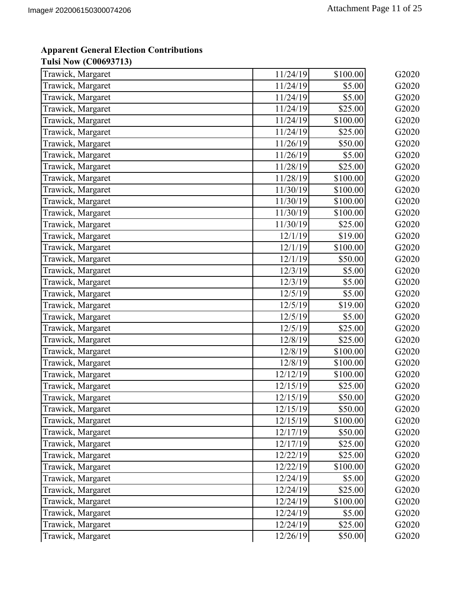| Trawick, Margaret | 11/24/19 | \$100.00 | G2020 |
|-------------------|----------|----------|-------|
| Trawick, Margaret | 11/24/19 | \$5.00   | G2020 |
| Trawick, Margaret | 11/24/19 | \$5.00   | G2020 |
| Trawick, Margaret | 11/24/19 | \$25.00  | G2020 |
| Trawick, Margaret | 11/24/19 | \$100.00 | G2020 |
| Trawick, Margaret | 11/24/19 | \$25.00  | G2020 |
| Trawick, Margaret | 11/26/19 | \$50.00  | G2020 |
| Trawick, Margaret | 11/26/19 | \$5.00   | G2020 |
| Trawick, Margaret | 11/28/19 | \$25.00  | G2020 |
| Trawick, Margaret | 11/28/19 | \$100.00 | G2020 |
| Trawick, Margaret | 11/30/19 | \$100.00 | G2020 |
| Trawick, Margaret | 11/30/19 | \$100.00 | G2020 |
| Trawick, Margaret | 11/30/19 | \$100.00 | G2020 |
| Trawick, Margaret | 11/30/19 | \$25.00  | G2020 |
| Trawick, Margaret | 12/1/19  | \$19.00  | G2020 |
| Trawick, Margaret | 12/1/19  | \$100.00 | G2020 |
| Trawick, Margaret | 12/1/19  | \$50.00  | G2020 |
| Trawick, Margaret | 12/3/19  | \$5.00   | G2020 |
| Trawick, Margaret | 12/3/19  | \$5.00   | G2020 |
| Trawick, Margaret | 12/5/19  | \$5.00   | G2020 |
| Trawick, Margaret | 12/5/19  | \$19.00  | G2020 |
| Trawick, Margaret | 12/5/19  | \$5.00   | G2020 |
| Trawick, Margaret | 12/5/19  | \$25.00  | G2020 |
| Trawick, Margaret | 12/8/19  | \$25.00  | G2020 |
| Trawick, Margaret | 12/8/19  | \$100.00 | G2020 |
| Trawick, Margaret | 12/8/19  | \$100.00 | G2020 |
| Trawick, Margaret | 12/12/19 | \$100.00 | G2020 |
| Trawick, Margaret | 12/15/19 | \$25.00  | G2020 |
| Trawick, Margaret | 12/15/19 | \$50.00  | G2020 |
| Trawick, Margaret | 12/15/19 | \$50.00  | G2020 |
| Trawick, Margaret | 12/15/19 | \$100.00 | G2020 |
| Trawick, Margaret | 12/17/19 | \$50.00  | G2020 |
| Trawick, Margaret | 12/17/19 | \$25.00  | G2020 |
| Trawick, Margaret | 12/22/19 | \$25.00  | G2020 |
| Trawick, Margaret | 12/22/19 | \$100.00 | G2020 |
| Trawick, Margaret | 12/24/19 | \$5.00   | G2020 |
| Trawick, Margaret | 12/24/19 | \$25.00  | G2020 |
| Trawick, Margaret | 12/24/19 | \$100.00 | G2020 |
| Trawick, Margaret | 12/24/19 | \$5.00   | G2020 |
| Trawick, Margaret | 12/24/19 | \$25.00  | G2020 |
| Trawick, Margaret | 12/26/19 | \$50.00  | G2020 |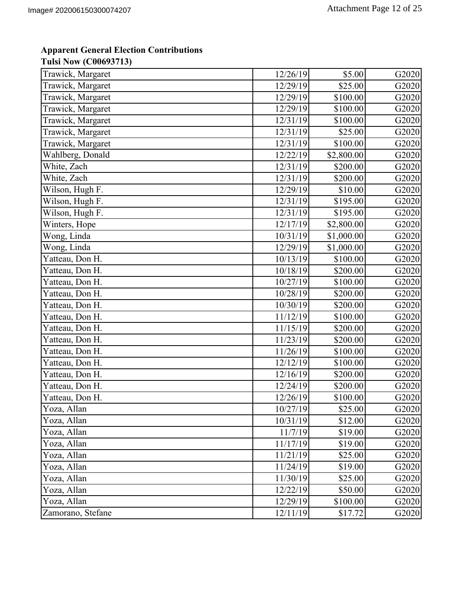| Trawick, Margaret             | 12/26/19            | \$5.00     | G2020 |
|-------------------------------|---------------------|------------|-------|
| Trawick, Margaret             | 12/29/19            | \$25.00    | G2020 |
| Trawick, Margaret             | 12/29/19            | \$100.00   | G2020 |
| Trawick, Margaret             | 12/29/19            | \$100.00   | G2020 |
| Trawick, Margaret             | 12/31/19            | \$100.00   | G2020 |
| Trawick, Margaret             | 12/31/19            | \$25.00    | G2020 |
| Trawick, Margaret             | 12/31/19            | \$100.00   | G2020 |
| Wahlberg, Donald              | 12/22/19            | \$2,800.00 | G2020 |
| White, Zach                   | 12/31/19            | \$200.00   | G2020 |
| White, Zach                   | 12/31/19            | \$200.00   | G2020 |
| Wilson, Hugh F.               | 12/29/19            | \$10.00    | G2020 |
| Wilson, Hugh F.               | 12/31/19            | \$195.00   | G2020 |
| Wilson, Hugh F.               | 12/31/19            | \$195.00   | G2020 |
| Winters, Hope                 | 12/17/19            | \$2,800.00 | G2020 |
| Wong, Linda                   | 10/31/19            | \$1,000.00 | G2020 |
| Wong, Linda                   | 12/29/19            | \$1,000.00 | G2020 |
| Yatteau, Don H.               | 10/13/19            | \$100.00   | G2020 |
| Yatteau, Don H.               | 10/18/19            | \$200.00   | G2020 |
| Yatteau, Don H.               | 10/27/19            | \$100.00   | G2020 |
| Yatteau, Don H.               | 10/28/19            | \$200.00   | G2020 |
| Yatteau, Don H.               | 10/30/19            | \$200.00   | G2020 |
| Yatteau, Don H.               | 11/12/19            | \$100.00   | G2020 |
| Yatteau, Don H.               | 11/15/19            | \$200.00   | G2020 |
| Yatteau, Don $\overline{H}$ . | 11/23/19            | \$200.00   | G2020 |
| Yatteau, Don H.               | 11/26/19            | \$100.00   | G2020 |
| Yatteau, Don H.               | 12/12/19            | \$100.00   | G2020 |
| Yatteau, Don H.               | 12/16/19            | \$200.00   | G2020 |
| Yatteau, Don H.               | $\frac{1}{2}/24/19$ | \$200.00   | G2020 |
| Yatteau, Don H.               | 12/26/19            | \$100.00   | G2020 |
| Yoza, Allan                   | 10/27/19            | \$25.00    | G2020 |
| Yoza, Allan                   | 10/31/19            | \$12.00    | G2020 |
| Yoza, Allan                   | 11/7/19             | \$19.00    | G2020 |
| Yoza, Allan                   | 11/17/19            | \$19.00    | G2020 |
| Yoza, Allan                   | 11/21/19            | \$25.00    | G2020 |
| Yoza, Allan                   | 11/24/19            | \$19.00    | G2020 |
| Yoza, Allan                   | 11/30/19            | \$25.00    | G2020 |
| Yoza, Allan                   | 12/22/19            | \$50.00    | G2020 |
| Yoza, Allan                   | 12/29/19            | \$100.00   | G2020 |
| Zamorano, Stefane             | 12/11/19            | \$17.72    | G2020 |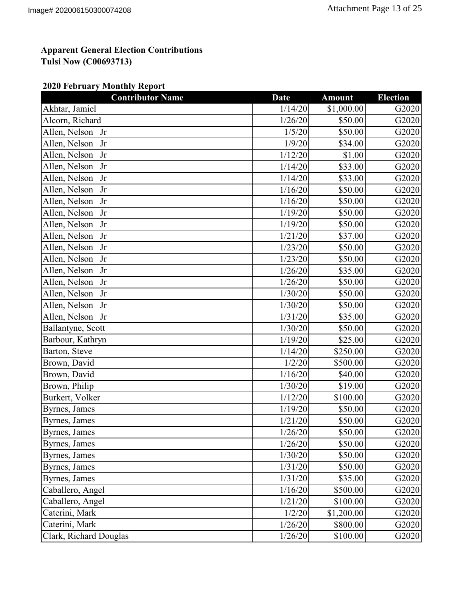## **2020 February Monthly Report**

| 1/14/20<br>Akhtar, Jamiel<br>Alcorn, Richard<br>1/26/20<br>Allen, Nelson Jr<br>1/5/20<br>Allen, Nelson<br>1/9/20<br>Jr<br>Allen, Nelson<br>1/12/20<br>Jr | \$1,000.00<br>\$50.00<br>\$50.00<br>\$34.00<br>\$1.00<br>\$33.00<br>\$33.00<br>\$50.00 | G2020<br>G2020<br>G2020<br>G2020<br>G2020<br>G2020 |
|----------------------------------------------------------------------------------------------------------------------------------------------------------|----------------------------------------------------------------------------------------|----------------------------------------------------|
|                                                                                                                                                          |                                                                                        |                                                    |
|                                                                                                                                                          |                                                                                        |                                                    |
|                                                                                                                                                          |                                                                                        |                                                    |
|                                                                                                                                                          |                                                                                        |                                                    |
|                                                                                                                                                          |                                                                                        |                                                    |
| Allen, Nelson<br>1/14/20<br>Jr                                                                                                                           |                                                                                        |                                                    |
| Allen, Nelson<br>1/14/20<br>Jr                                                                                                                           |                                                                                        | G2020                                              |
| Allen, Nelson<br>Jr<br>1/16/20                                                                                                                           |                                                                                        | G2020                                              |
| 1/16/20<br>Allen, Nelson<br>Jr                                                                                                                           | \$50.00                                                                                | G2020                                              |
| Allen, Nelson<br>1/19/20<br>Jr                                                                                                                           | \$50.00                                                                                | G2020                                              |
| Allen, Nelson<br>1/19/20<br>Jr                                                                                                                           | \$50.00                                                                                | G2020                                              |
| Allen, Nelson<br>Jr<br>1/21/20                                                                                                                           | \$37.00                                                                                | G2020                                              |
| Allen, Nelson<br>1/23/20<br>Jr                                                                                                                           | \$50.00                                                                                | G2020                                              |
| Allen, Nelson<br>Jr<br>1/23/20                                                                                                                           | \$50.00                                                                                | G2020                                              |
| Allen, Nelson<br>1/26/20<br>Jr                                                                                                                           | \$35.00                                                                                | G2020                                              |
| Allen, Nelson<br>1/26/20<br>Jr                                                                                                                           | \$50.00                                                                                | G2020                                              |
| 1/30/20<br>Allen, Nelson<br>Jr                                                                                                                           | \$50.00                                                                                | G2020                                              |
| Allen, Nelson<br>1/30/20<br>Jr                                                                                                                           | \$50.00                                                                                | G2020                                              |
| Allen, Nelson Jr<br>1/31/20                                                                                                                              | \$35.00                                                                                | G2020                                              |
| 1/30/20<br>Ballantyne, Scott                                                                                                                             | \$50.00                                                                                | G2020                                              |
| Barbour, Kathryn<br>1/19/20                                                                                                                              | \$25.00                                                                                | G2020                                              |
| Barton, Steve<br>1/14/20                                                                                                                                 | \$250.00                                                                               | G2020                                              |
| Brown, David<br>1/2/20                                                                                                                                   | \$500.00                                                                               | G2020                                              |
| Brown, David<br>1/16/20                                                                                                                                  | \$40.00                                                                                | G2020                                              |
| Brown, Philip<br>1/30/20                                                                                                                                 | \$19.00                                                                                | G2020                                              |
| 1/12/20<br>Burkert, Volker                                                                                                                               | \$100.00                                                                               | G2020                                              |
| 1/19/20<br>Byrnes, James                                                                                                                                 | \$50.00                                                                                | G2020                                              |
| 1/21/20<br>Byrnes, James                                                                                                                                 | \$50.00                                                                                | G2020                                              |
| 1/26/20<br>Byrnes, James                                                                                                                                 | \$50.00                                                                                | G2020                                              |
| Byrnes, James<br>1/26/20                                                                                                                                 | \$50.00                                                                                | G2020                                              |
| 1/30/20<br>Byrnes, James                                                                                                                                 | \$50.00                                                                                | G2020                                              |
| Byrnes, James<br>1/31/20                                                                                                                                 | \$50.00                                                                                | G2020                                              |
| Byrnes, James<br>1/31/20                                                                                                                                 | \$35.00                                                                                | G2020                                              |
| 1/16/20<br>Caballero, Angel                                                                                                                              | \$500.00                                                                               | G2020                                              |
| Caballero, Angel<br>1/21/20                                                                                                                              | \$100.00                                                                               | G2020                                              |
| Caterini, Mark<br>1/2/20                                                                                                                                 | \$1,200.00                                                                             | G2020                                              |
| Caterini, Mark<br>1/26/20                                                                                                                                | \$800.00                                                                               | G2020                                              |
| Clark, Richard Douglas<br>1/26/20                                                                                                                        | \$100.00                                                                               | G2020                                              |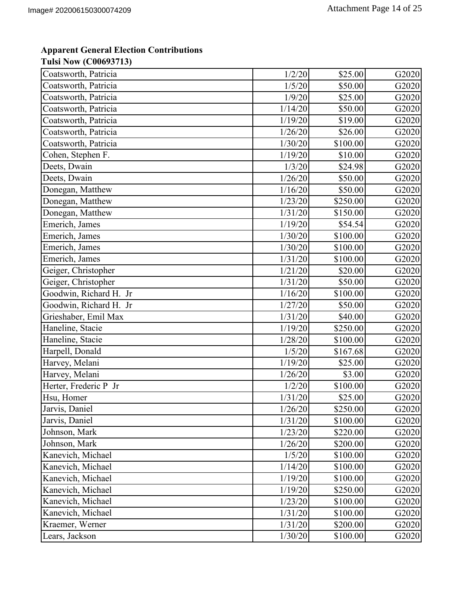| Coatsworth, Patricia   | 1/2/20  | \$25.00  | G2020 |
|------------------------|---------|----------|-------|
| Coatsworth, Patricia   | 1/5/20  | \$50.00  | G2020 |
| Coatsworth, Patricia   | 1/9/20  | \$25.00  | G2020 |
| Coatsworth, Patricia   | 1/14/20 | \$50.00  | G2020 |
| Coatsworth, Patricia   | 1/19/20 | \$19.00  | G2020 |
| Coatsworth, Patricia   | 1/26/20 | \$26.00  | G2020 |
| Coatsworth, Patricia   | 1/30/20 | \$100.00 | G2020 |
| Cohen, Stephen F.      | 1/19/20 | \$10.00  | G2020 |
| Deets, Dwain           | 1/3/20  | \$24.98  | G2020 |
| Deets, Dwain           | 1/26/20 | \$50.00  | G2020 |
| Donegan, Matthew       | 1/16/20 | \$50.00  | G2020 |
| Donegan, Matthew       | 1/23/20 | \$250.00 | G2020 |
| Donegan, Matthew       | 1/31/20 | \$150.00 | G2020 |
| Emerich, James         | 1/19/20 | \$54.54  | G2020 |
| Emerich, James         | 1/30/20 | \$100.00 | G2020 |
| Emerich, James         | 1/30/20 | \$100.00 | G2020 |
| Emerich, James         | 1/31/20 | \$100.00 | G2020 |
| Geiger, Christopher    | 1/21/20 | \$20.00  | G2020 |
| Geiger, Christopher    | 1/31/20 | \$50.00  | G2020 |
| Goodwin, Richard H. Jr | 1/16/20 | \$100.00 | G2020 |
| Goodwin, Richard H. Jr | 1/27/20 | \$50.00  | G2020 |
| Grieshaber, Emil Max   | 1/31/20 | \$40.00  | G2020 |
| Haneline, Stacie       | 1/19/20 | \$250.00 | G2020 |
| Haneline, Stacie       | 1/28/20 | \$100.00 | G2020 |
| Harpell, Donald        | 1/5/20  | \$167.68 | G2020 |
| Harvey, Melani         | 1/19/20 | \$25.00  | G2020 |
| Harvey, Melani         | 1/26/20 | \$3.00   | G2020 |
| Herter, Frederic P Jr  | 1/2/20  | \$100.00 | G2020 |
| Hsu, Homer             | 1/31/20 | \$25.00  | G2020 |
| Jarvis, Daniel         | 1/26/20 | \$250.00 | G2020 |
| Jarvis, Daniel         | 1/31/20 | \$100.00 | G2020 |
| Johnson, Mark          | 1/23/20 | \$220.00 | G2020 |
| Johnson, Mark          | 1/26/20 | \$200.00 | G2020 |
| Kanevich, Michael      | 1/5/20  | \$100.00 | G2020 |
| Kanevich, Michael      | 1/14/20 | \$100.00 | G2020 |
| Kanevich, Michael      | 1/19/20 | \$100.00 | G2020 |
| Kanevich, Michael      | 1/19/20 | \$250.00 | G2020 |
| Kanevich, Michael      | 1/23/20 | \$100.00 | G2020 |
| Kanevich, Michael      | 1/31/20 | \$100.00 | G2020 |
| Kraemer, Werner        | 1/31/20 | \$200.00 | G2020 |
| Lears, Jackson         | 1/30/20 | \$100.00 | G2020 |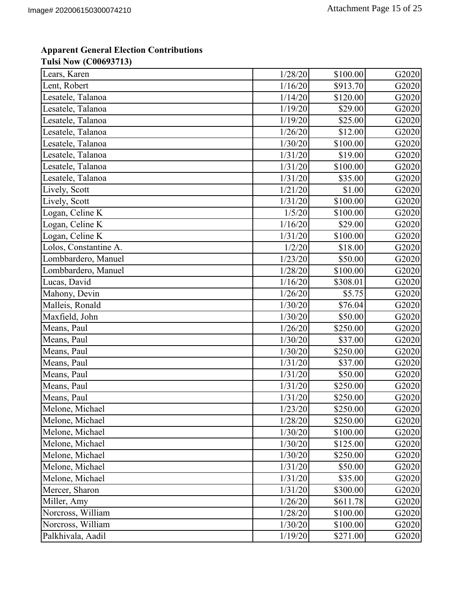| Lears, Karen          | 1/28/20 | \$100.00 | G2020 |
|-----------------------|---------|----------|-------|
| Lent, Robert          | 1/16/20 | \$913.70 | G2020 |
| Lesatele, Talanoa     | 1/14/20 | \$120.00 | G2020 |
| Lesatele, Talanoa     | 1/19/20 | \$29.00  | G2020 |
| Lesatele, Talanoa     | 1/19/20 | \$25.00  | G2020 |
| Lesatele, Talanoa     | 1/26/20 | \$12.00  | G2020 |
| Lesatele, Talanoa     | 1/30/20 | \$100.00 | G2020 |
| Lesatele, Talanoa     | 1/31/20 | \$19.00  | G2020 |
| Lesatele, Talanoa     | 1/31/20 | \$100.00 | G2020 |
| Lesatele, Talanoa     | 1/31/20 | \$35.00  | G2020 |
| Lively, Scott         | 1/21/20 | \$1.00   | G2020 |
| Lively, Scott         | 1/31/20 | \$100.00 | G2020 |
| Logan, Celine K       | 1/5/20  | \$100.00 | G2020 |
| Logan, Celine K       | 1/16/20 | \$29.00  | G2020 |
| Logan, Celine K       | 1/31/20 | \$100.00 | G2020 |
| Lolos, Constantine A. | 1/2/20  | \$18.00  | G2020 |
| Lombbardero, Manuel   | 1/23/20 | \$50.00  | G2020 |
| Lombbardero, Manuel   | 1/28/20 | \$100.00 | G2020 |
| Lucas, David          | 1/16/20 | \$308.01 | G2020 |
| Mahony, Devin         | 1/26/20 | \$5.75   | G2020 |
| Malleis, Ronald       | 1/30/20 | \$76.04  | G2020 |
| Maxfield, John        | 1/30/20 | \$50.00  | G2020 |
| Means, Paul           | 1/26/20 | \$250.00 | G2020 |
| Means, Paul           | 1/30/20 | \$37.00  | G2020 |
| Means, Paul           | 1/30/20 | \$250.00 | G2020 |
| Means, Paul           | 1/31/20 | \$37.00  | G2020 |
| Means, Paul           | 1/31/20 | \$50.00  | G2020 |
| Means, Paul           | 1/31/20 | \$250.00 | G2020 |
| Means, Paul           | 1/31/20 | \$250.00 | G2020 |
| Melone, Michael       | 1/23/20 | \$250.00 | G2020 |
| Melone, Michael       | 1/28/20 | \$250.00 | G2020 |
| Melone, Michael       | 1/30/20 | \$100.00 | G2020 |
| Melone, Michael       | 1/30/20 | \$125.00 | G2020 |
| Melone, Michael       | 1/30/20 | \$250.00 | G2020 |
| Melone, Michael       | 1/31/20 | \$50.00  | G2020 |
| Melone, Michael       | 1/31/20 | \$35.00  | G2020 |
| Mercer, Sharon        | 1/31/20 | \$300.00 | G2020 |
| Miller, Amy           | 1/26/20 | \$611.78 | G2020 |
| Norcross, William     | 1/28/20 | \$100.00 | G2020 |
| Norcross, William     | 1/30/20 | \$100.00 | G2020 |
| Palkhivala, Aadil     | 1/19/20 | \$271.00 | G2020 |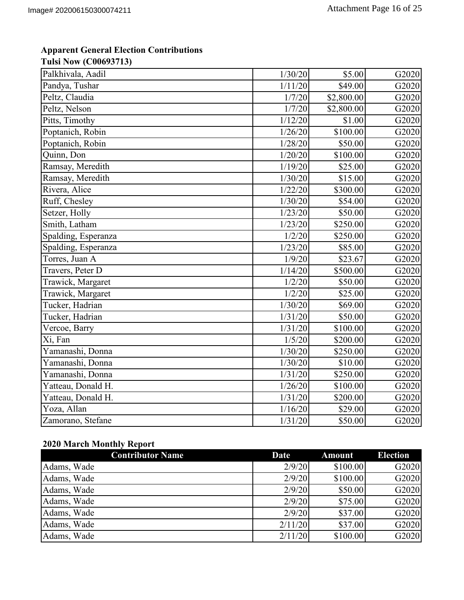| Palkhivala, Aadil   | 1/30/20 | \$5.00     | G2020 |
|---------------------|---------|------------|-------|
| Pandya, Tushar      | 1/11/20 | \$49.00    | G2020 |
| Peltz, Claudia      | 1/7/20  | \$2,800.00 | G2020 |
| Peltz, Nelson       | 1/7/20  | \$2,800.00 | G2020 |
| Pitts, Timothy      | 1/12/20 | \$1.00     | G2020 |
| Poptanich, Robin    | 1/26/20 | \$100.00   | G2020 |
| Poptanich, Robin    | 1/28/20 | \$50.00    | G2020 |
| Quinn, Don          | 1/20/20 | \$100.00   | G2020 |
| Ramsay, Meredith    | 1/19/20 | \$25.00    | G2020 |
| Ramsay, Meredith    | 1/30/20 | \$15.00    | G2020 |
| Rivera, Alice       | 1/22/20 | \$300.00   | G2020 |
| Ruff, Chesley       | 1/30/20 | \$54.00    | G2020 |
| Setzer, Holly       | 1/23/20 | \$50.00    | G2020 |
| Smith, Latham       | 1/23/20 | \$250.00   | G2020 |
| Spalding, Esperanza | 1/2/20  | \$250.00   | G2020 |
| Spalding, Esperanza | 1/23/20 | \$85.00    | G2020 |
| Torres, Juan A      | 1/9/20  | \$23.67    | G2020 |
| Travers, Peter D    | 1/14/20 | \$500.00   | G2020 |
| Trawick, Margaret   | 1/2/20  | \$50.00    | G2020 |
| Trawick, Margaret   | 1/2/20  | \$25.00    | G2020 |
| Tucker, Hadrian     | 1/30/20 | \$69.00    | G2020 |
| Tucker, Hadrian     | 1/31/20 | \$50.00    | G2020 |
| Vercoe, Barry       | 1/31/20 | \$100.00   | G2020 |
| Xi, Fan             | 1/5/20  | \$200.00   | G2020 |
| Yamanashi, Donna    | 1/30/20 | \$250.00   | G2020 |
| Yamanashi, Donna    | 1/30/20 | \$10.00    | G2020 |
| Yamanashi, Donna    | 1/31/20 | \$250.00   | G2020 |
| Yatteau, Donald H.  | 1/26/20 | \$100.00   | G2020 |
| Yatteau, Donald H.  | 1/31/20 | \$200.00   | G2020 |
| Yoza, Allan         | 1/16/20 | \$29.00    | G2020 |
| Zamorano, Stefane   | 1/31/20 | \$50.00    | G2020 |

### **2020 March Monthly Report**

| <b>Contributor Name</b> | Date    | <b>Amount</b> | <b>Election</b> |
|-------------------------|---------|---------------|-----------------|
| Adams, Wade             | 2/9/20  | \$100.00      | G2020           |
| Adams, Wade             | 2/9/20  | \$100.00      | G2020           |
| Adams, Wade             | 2/9/20  | \$50.00       | G2020           |
| Adams, Wade             | 2/9/20  | \$75.00       | G2020           |
| Adams, Wade             | 2/9/20  | \$37.00       | G2020           |
| Adams, Wade             | 2/11/20 | \$37.00       | G2020           |
| Adams, Wade             | 2/11/20 | \$100.00      | G2020           |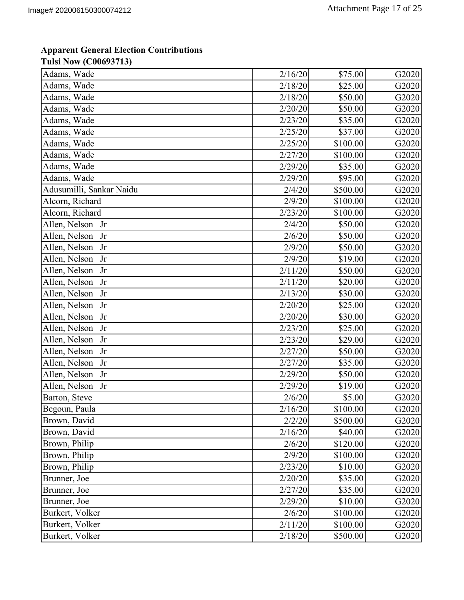| Adams, Wade              | 2/16/20 | \$75.00  | G2020 |
|--------------------------|---------|----------|-------|
| Adams, Wade              | 2/18/20 | \$25.00  | G2020 |
| Adams, Wade              | 2/18/20 | \$50.00  | G2020 |
| Adams, Wade              | 2/20/20 | \$50.00  | G2020 |
| Adams, Wade              | 2/23/20 | \$35.00  | G2020 |
| Adams, Wade              | 2/25/20 | \$37.00  | G2020 |
| Adams, Wade              | 2/25/20 | \$100.00 | G2020 |
| Adams, Wade              | 2/27/20 | \$100.00 | G2020 |
| Adams, Wade              | 2/29/20 | \$35.00  | G2020 |
| Adams, Wade              | 2/29/20 | \$95.00  | G2020 |
| Adusumilli, Sankar Naidu | 2/4/20  | \$500.00 | G2020 |
| Alcorn, Richard          | 2/9/20  | \$100.00 | G2020 |
| Alcorn, Richard          | 2/23/20 | \$100.00 | G2020 |
| Allen, Nelson<br>Jr      | 2/4/20  | \$50.00  | G2020 |
| Allen, Nelson<br>Jr      | 2/6/20  | \$50.00  | G2020 |
| Allen, Nelson<br>Jr      | 2/9/20  | \$50.00  | G2020 |
| Allen, Nelson<br>Jr      | 2/9/20  | \$19.00  | G2020 |
| Allen, Nelson<br>Jr      | 2/11/20 | \$50.00  | G2020 |
| Allen, Nelson<br>Jr      | 2/11/20 | \$20.00  | G2020 |
| Allen, Nelson<br>Jr      | 2/13/20 | \$30.00  | G2020 |
| Allen, Nelson<br>Jr      | 2/20/20 | \$25.00  | G2020 |
| Allen, Nelson<br>Jr      | 2/20/20 | \$30.00  | G2020 |
| Allen, Nelson<br>Jr      | 2/23/20 | \$25.00  | G2020 |
| Allen, Nelson<br>Jr      | 2/23/20 | \$29.00  | G2020 |
| Allen, Nelson<br>Jr      | 2/27/20 | \$50.00  | G2020 |
| Allen, Nelson<br>Jr      | 2/27/20 | \$35.00  | G2020 |
| Allen, Nelson<br>Jr      | 2/29/20 | \$50.00  | G2020 |
| Allen, Nelson Jr         | 2/29/20 | \$19.00  | G2020 |
| Barton, Steve            | 2/6/20  | \$5.00   | G2020 |
| Begoun, Paula            | 2/16/20 | \$100.00 | G2020 |
| Brown, David             | 2/2/20  | \$500.00 | G2020 |
| Brown, David             | 2/16/20 | \$40.00  | G2020 |
| Brown, Philip            | 2/6/20  | \$120.00 | G2020 |
| Brown, Philip            | 2/9/20  | \$100.00 | G2020 |
| Brown, Philip            | 2/23/20 | \$10.00  | G2020 |
| Brunner, Joe             | 2/20/20 | \$35.00  | G2020 |
| Brunner, Joe             | 2/27/20 | \$35.00  | G2020 |
| Brunner, Joe             | 2/29/20 | \$10.00  | G2020 |
| Burkert, Volker          | 2/6/20  | \$100.00 | G2020 |
| Burkert, Volker          | 2/11/20 | \$100.00 | G2020 |
| Burkert, Volker          | 2/18/20 | \$500.00 | G2020 |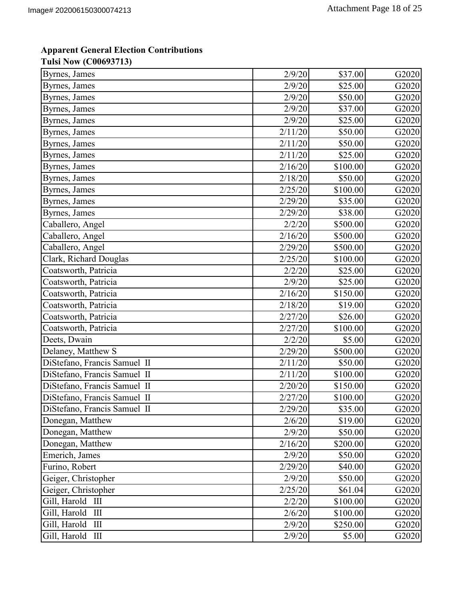| Byrnes, James                      | 2/9/20  | \$37.00  | G2020 |
|------------------------------------|---------|----------|-------|
| Byrnes, James                      | 2/9/20  | \$25.00  | G2020 |
| Byrnes, James                      | 2/9/20  | \$50.00  | G2020 |
| Byrnes, James                      | 2/9/20  | \$37.00  | G2020 |
| Byrnes, James                      | 2/9/20  | \$25.00  | G2020 |
| Byrnes, James                      | 2/11/20 | \$50.00  | G2020 |
| Byrnes, James                      | 2/11/20 | \$50.00  | G2020 |
| Byrnes, James                      | 2/11/20 | \$25.00  | G2020 |
| Byrnes, James                      | 2/16/20 | \$100.00 | G2020 |
| Byrnes, James                      | 2/18/20 | \$50.00  | G2020 |
| Byrnes, James                      | 2/25/20 | \$100.00 | G2020 |
| Byrnes, James                      | 2/29/20 | \$35.00  | G2020 |
| Byrnes, James                      | 2/29/20 | \$38.00  | G2020 |
| Caballero, Angel                   | 2/2/20  | \$500.00 | G2020 |
| Caballero, Angel                   | 2/16/20 | \$500.00 | G2020 |
| Caballero, Angel                   | 2/29/20 | \$500.00 | G2020 |
| Clark, Richard Douglas             | 2/25/20 | \$100.00 | G2020 |
| Coatsworth, Patricia               | 2/2/20  | \$25.00  | G2020 |
| Coatsworth, Patricia               | 2/9/20  | \$25.00  | G2020 |
| Coatsworth, Patricia               | 2/16/20 | \$150.00 | G2020 |
| Coatsworth, Patricia               | 2/18/20 | \$19.00  | G2020 |
| Coatsworth, Patricia               | 2/27/20 | \$26.00  | G2020 |
| Coatsworth, Patricia               | 2/27/20 | \$100.00 | G2020 |
| Deets, Dwain                       | 2/2/20  | \$5.00   | G2020 |
| Delaney, Matthew S                 | 2/29/20 | \$500.00 | G2020 |
| DiStefano, Francis Samuel II       | 2/11/20 | \$50.00  | G2020 |
| DiStefano, Francis Samuel II       | 2/11/20 | \$100.00 | G2020 |
| DiStefano, Francis Samuel II       | 2/20/20 | \$150.00 | G2020 |
| DiStefano, Francis Samuel II       | 2/27/20 | \$100.00 | G2020 |
| DiStefano, Francis Samuel II       | 2/29/20 | \$35.00  | G2020 |
| Donegan, Matthew                   | 2/6/20  | \$19.00  | G2020 |
| Donegan, Matthew                   | 2/9/20  | \$50.00  | G2020 |
| Donegan, Matthew                   | 2/16/20 | \$200.00 | G2020 |
| Emerich, James                     | 2/9/20  | \$50.00  | G2020 |
| Furino, Robert                     | 2/29/20 | \$40.00  | G2020 |
| Geiger, Christopher                | 2/9/20  | \$50.00  | G2020 |
| Geiger, Christopher                | 2/25/20 | \$61.04  | G2020 |
| Gill, Harold III                   | 2/2/20  | \$100.00 | G2020 |
| Gill, Harold<br>$\mathop{\rm III}$ | 2/6/20  | \$100.00 | G2020 |
| Gill, Harold<br>III                | 2/9/20  | \$250.00 | G2020 |
| Gill, Harold III                   | 2/9/20  | \$5.00   | G2020 |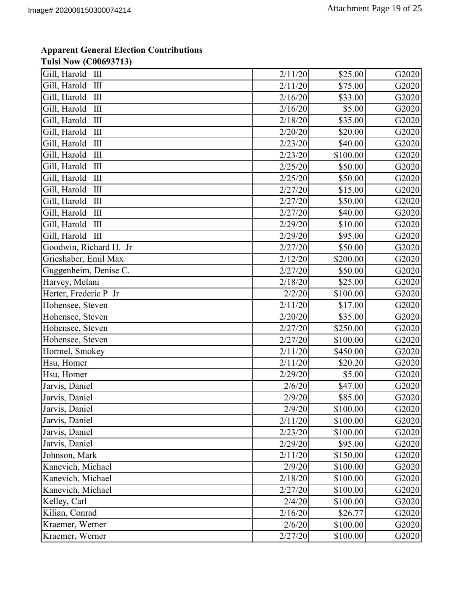# **Apparent General Election Contributions**

**Tulsi Now (C00693713)**

| Gill, Harold III                                 | 2/11/20 | \$25.00  | G2020 |
|--------------------------------------------------|---------|----------|-------|
| Gill, Harold<br>Ш                                | 2/11/20 | \$75.00  | G2020 |
| Gill, Harold<br>$\mathop{\rm III}$               | 2/16/20 | \$33.00  | G2020 |
| Gill, Harold<br>Ш                                | 2/16/20 | \$5.00   | G2020 |
| Gill, Harold<br>$\mathop{\mathrm{III}}\nolimits$ | 2/18/20 | \$35.00  | G2020 |
| Gill, Harold<br>$\mathop{\rm III}$               | 2/20/20 | \$20.00  | G2020 |
| Gill, Harold<br>Ш                                | 2/23/20 | \$40.00  | G2020 |
| Gill, Harold<br>$\mathop{\rm III}$               | 2/23/20 | \$100.00 | G2020 |
| Gill, Harold<br>$\mathop{\rm III}$               | 2/25/20 | \$50.00  | G2020 |
| Gill, Harold<br>III                              | 2/25/20 | \$50.00  | G2020 |
| Gill, Harold<br>$\mathop{\rm III}$               | 2/27/20 | \$15.00  | G2020 |
| Gill, Harold<br>Ш                                | 2/27/20 | \$50.00  | G2020 |
| Gill, Harold<br>$\mathop{\mathrm{III}}\nolimits$ | 2/27/20 | \$40.00  | G2020 |
| Gill, Harold<br>$\mathop{\rm III}$               | 2/29/20 | \$10.00  | G2020 |
| Gill, Harold III                                 | 2/29/20 | \$95.00  | G2020 |
| Goodwin, Richard H. Jr                           | 2/27/20 | \$50.00  | G2020 |
| Grieshaber, Emil Max                             | 2/12/20 | \$200.00 | G2020 |
| Guggenheim, Denise C.                            | 2/27/20 | \$50.00  | G2020 |
| Harvey, Melani                                   | 2/18/20 | \$25.00  | G2020 |
| Herter, Frederic P Jr                            | 2/2/20  | \$100.00 | G2020 |
| Hohensee, Steven                                 | 2/11/20 | \$17.00  | G2020 |
| Hohensee, Steven                                 | 2/20/20 | \$35.00  | G2020 |
| Hohensee, Steven                                 | 2/27/20 | \$250.00 | G2020 |
| Hohensee, Steven                                 | 2/27/20 | \$100.00 | G2020 |
| Hormel, Smokey                                   | 2/11/20 | \$450.00 | G2020 |
| Hsu, Homer                                       | 2/11/20 | \$20.20  | G2020 |
| Hsu, Homer                                       | 2/29/20 | \$5.00   | G2020 |
| Jarvis, Daniel                                   | 2/6/20  | \$47.00  | G2020 |
| Jarvis, Daniel                                   | 2/9/20  | \$85.00  | G2020 |
| Jarvis, Daniel                                   | 2/9/20  | \$100.00 | G2020 |
| Jarvis, Daniel                                   | 2/11/20 | \$100.00 | G2020 |
| Jarvis, Daniel                                   | 2/23/20 | \$100.00 | G2020 |
| Jarvis, Daniel                                   | 2/29/20 | \$95.00  | G2020 |
| Johnson, Mark                                    | 2/11/20 | \$150.00 | G2020 |
| Kanevich, Michael                                | 2/9/20  | \$100.00 | G2020 |
| Kanevich, Michael                                | 2/18/20 | \$100.00 | G2020 |
| Kanevich, Michael                                | 2/27/20 | \$100.00 | G2020 |
| Kelley, Carl                                     | 2/4/20  | \$100.00 | G2020 |
| Kilian, Conrad                                   | 2/16/20 | \$26.77  | G2020 |
| Kraemer, Werner                                  | 2/6/20  | \$100.00 | G2020 |
| Kraemer, Werner                                  | 2/27/20 | \$100.00 | G2020 |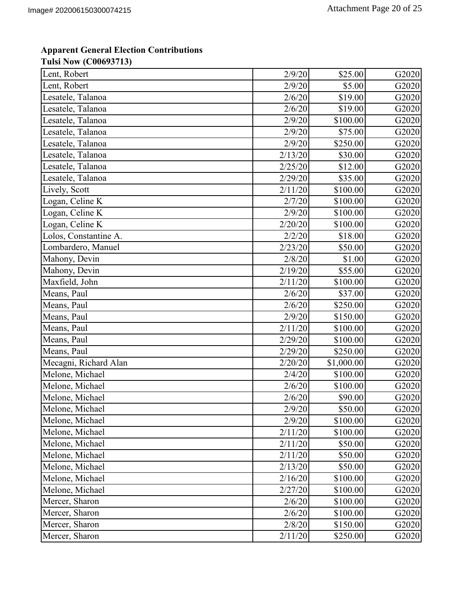| Lent, Robert          | 2/9/20  | \$25.00    | G2020 |
|-----------------------|---------|------------|-------|
| Lent, Robert          | 2/9/20  | \$5.00     | G2020 |
| Lesatele, Talanoa     | 2/6/20  | \$19.00    | G2020 |
| Lesatele, Talanoa     | 2/6/20  | \$19.00    | G2020 |
| Lesatele, Talanoa     | 2/9/20  | \$100.00   | G2020 |
| Lesatele, Talanoa     | 2/9/20  | \$75.00    | G2020 |
| Lesatele, Talanoa     | 2/9/20  | \$250.00   | G2020 |
| Lesatele, Talanoa     | 2/13/20 | \$30.00    | G2020 |
| Lesatele, Talanoa     | 2/25/20 | \$12.00    | G2020 |
| Lesatele, Talanoa     | 2/29/20 | \$35.00    | G2020 |
| Lively, Scott         | 2/11/20 | \$100.00   | G2020 |
| Logan, Celine K       | 2/7/20  | \$100.00   | G2020 |
| Logan, Celine K       | 2/9/20  | \$100.00   | G2020 |
| Logan, Celine K       | 2/20/20 | \$100.00   | G2020 |
| Lolos, Constantine A. | 2/2/20  | \$18.00    | G2020 |
| Lombardero, Manuel    | 2/23/20 | \$50.00    | G2020 |
| Mahony, Devin         | 2/8/20  | \$1.00     | G2020 |
| Mahony, Devin         | 2/19/20 | \$55.00    | G2020 |
| Maxfield, John        | 2/11/20 | \$100.00   | G2020 |
| Means, Paul           | 2/6/20  | \$37.00    | G2020 |
| Means, Paul           | 2/6/20  | \$250.00   | G2020 |
| Means, Paul           | 2/9/20  | \$150.00   | G2020 |
| Means, Paul           | 2/11/20 | \$100.00   | G2020 |
| Means, Paul           | 2/29/20 | \$100.00   | G2020 |
| Means, Paul           | 2/29/20 | \$250.00   | G2020 |
| Mecagni, Richard Alan | 2/20/20 | \$1,000.00 | G2020 |
| Melone, Michael       | 2/4/20  | \$100.00   | G2020 |
| Melone, Michael       | 2/6/20  | \$100.00   | G2020 |
| Melone, Michael       | 2/6/20  | \$90.00    | G2020 |
| Melone, Michael       | 2/9/20  | \$50.00    | G2020 |
| Melone, Michael       | 2/9/20  | \$100.00   | G2020 |
| Melone, Michael       | 2/11/20 | \$100.00   | G2020 |
| Melone, Michael       | 2/11/20 | \$50.00    | G2020 |
| Melone, Michael       | 2/11/20 | \$50.00    | G2020 |
| Melone, Michael       | 2/13/20 | \$50.00    | G2020 |
| Melone, Michael       | 2/16/20 | \$100.00   | G2020 |
| Melone, Michael       | 2/27/20 | \$100.00   | G2020 |
| Mercer, Sharon        | 2/6/20  | \$100.00   | G2020 |
| Mercer, Sharon        | 2/6/20  | \$100.00   | G2020 |
| Mercer, Sharon        | 2/8/20  | \$150.00   | G2020 |
| Mercer, Sharon        | 2/11/20 | \$250.00   | G2020 |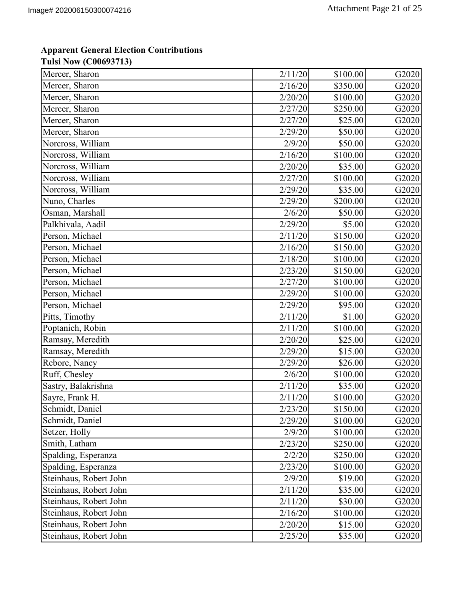| Mercer, Sharon         | 2/11/20 | \$100.00 | G2020 |
|------------------------|---------|----------|-------|
| Mercer, Sharon         | 2/16/20 | \$350.00 | G2020 |
| Mercer, Sharon         | 2/20/20 | \$100.00 | G2020 |
| Mercer, Sharon         | 2/27/20 | \$250.00 | G2020 |
| Mercer, Sharon         | 2/27/20 | \$25.00  | G2020 |
| Mercer, Sharon         | 2/29/20 | \$50.00  | G2020 |
| Norcross, William      | 2/9/20  | \$50.00  | G2020 |
| Norcross, William      | 2/16/20 | \$100.00 | G2020 |
| Norcross, William      | 2/20/20 | \$35.00  | G2020 |
| Norcross, William      | 2/27/20 | \$100.00 | G2020 |
| Norcross, William      | 2/29/20 | \$35.00  | G2020 |
| Nuno, Charles          | 2/29/20 | \$200.00 | G2020 |
| Osman, Marshall        | 2/6/20  | \$50.00  | G2020 |
| Palkhivala, Aadil      | 2/29/20 | \$5.00   | G2020 |
| Person, Michael        | 2/11/20 | \$150.00 | G2020 |
| Person, Michael        | 2/16/20 | \$150.00 | G2020 |
| Person, Michael        | 2/18/20 | \$100.00 | G2020 |
| Person, Michael        | 2/23/20 | \$150.00 | G2020 |
| Person, Michael        | 2/27/20 | \$100.00 | G2020 |
| Person, Michael        | 2/29/20 | \$100.00 | G2020 |
| Person, Michael        | 2/29/20 | \$95.00  | G2020 |
| Pitts, Timothy         | 2/11/20 | \$1.00   | G2020 |
| Poptanich, Robin       | 2/11/20 | \$100.00 | G2020 |
| Ramsay, Meredith       | 2/20/20 | \$25.00  | G2020 |
| Ramsay, Meredith       | 2/29/20 | \$15.00  | G2020 |
| Rebore, Nancy          | 2/29/20 | \$26.00  | G2020 |
| Ruff, Chesley          | 2/6/20  | \$100.00 | G2020 |
| Sastry, Balakrishna    | 2/11/20 | \$35.00  | G2020 |
| Sayre, Frank H.        | 2/11/20 | \$100.00 | G2020 |
| Schmidt, Daniel        | 2/23/20 | \$150.00 | G2020 |
| Schmidt, Daniel        | 2/29/20 | \$100.00 | G2020 |
| Setzer, Holly          | 2/9/20  | \$100.00 | G2020 |
| Smith, Latham          | 2/23/20 | \$250.00 | G2020 |
| Spalding, Esperanza    | 2/2/20  | \$250.00 | G2020 |
| Spalding, Esperanza    | 2/23/20 | \$100.00 | G2020 |
| Steinhaus, Robert John | 2/9/20  | \$19.00  | G2020 |
| Steinhaus, Robert John | 2/11/20 | \$35.00  | G2020 |
| Steinhaus, Robert John | 2/11/20 | \$30.00  | G2020 |
| Steinhaus, Robert John | 2/16/20 | \$100.00 | G2020 |
| Steinhaus, Robert John | 2/20/20 | \$15.00  | G2020 |
| Steinhaus, Robert John | 2/25/20 | \$35.00  | G2020 |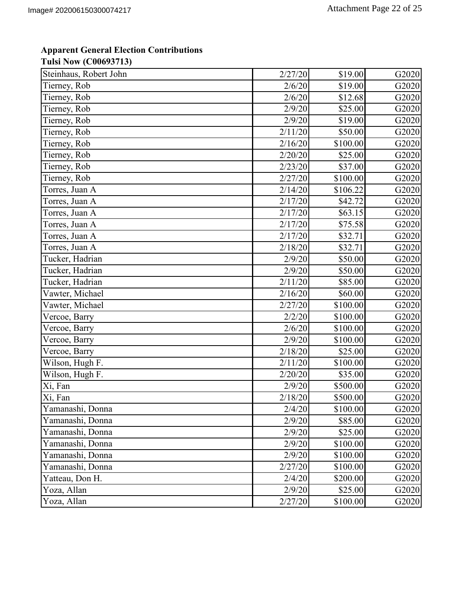| Steinhaus, Robert John | 2/27/20 | \$19.00  | G2020 |
|------------------------|---------|----------|-------|
| Tierney, Rob           | 2/6/20  | \$19.00  | G2020 |
| Tierney, Rob           | 2/6/20  | \$12.68  | G2020 |
| Tierney, Rob           | 2/9/20  | \$25.00  | G2020 |
| Tierney, Rob           | 2/9/20  | \$19.00  | G2020 |
| Tierney, Rob           | 2/11/20 | \$50.00  | G2020 |
| Tierney, Rob           | 2/16/20 | \$100.00 | G2020 |
| Tierney, Rob           | 2/20/20 | \$25.00  | G2020 |
| Tierney, Rob           | 2/23/20 | \$37.00  | G2020 |
| Tierney, Rob           | 2/27/20 | \$100.00 | G2020 |
| Torres, Juan A         | 2/14/20 | \$106.22 | G2020 |
| Torres, Juan A         | 2/17/20 | \$42.72  | G2020 |
| Torres, Juan A         | 2/17/20 | \$63.15  | G2020 |
| Torres, Juan A         | 2/17/20 | \$75.58  | G2020 |
| Torres, Juan A         | 2/17/20 | \$32.71  | G2020 |
| Torres, Juan A         | 2/18/20 | \$32.71  | G2020 |
| Tucker, Hadrian        | 2/9/20  | \$50.00  | G2020 |
| Tucker, Hadrian        | 2/9/20  | \$50.00  | G2020 |
| Tucker, Hadrian        | 2/11/20 | \$85.00  | G2020 |
| Vawter, Michael        | 2/16/20 | \$60.00  | G2020 |
| Vawter, Michael        | 2/27/20 | \$100.00 | G2020 |
| Vercoe, Barry          | 2/2/20  | \$100.00 | G2020 |
| Vercoe, Barry          | 2/6/20  | \$100.00 | G2020 |
| Vercoe, Barry          | 2/9/20  | \$100.00 | G2020 |
| Vercoe, Barry          | 2/18/20 | \$25.00  | G2020 |
| Wilson, Hugh F.        | 2/11/20 | \$100.00 | G2020 |
| Wilson, Hugh F.        | 2/20/20 | \$35.00  | G2020 |
| Xi, Fan                | 2/9/20  | \$500.00 | G2020 |
| Xi, Fan                | 2/18/20 | \$500.00 | G2020 |
| Yamanashi, Donna       | 2/4/20  | \$100.00 | G2020 |
| Yamanashi, Donna       | 2/9/20  | \$85.00  | G2020 |
| Yamanashi, Donna       | 2/9/20  | \$25.00  | G2020 |
| Yamanashi, Donna       | 2/9/20  | \$100.00 | G2020 |
| Yamanashi, Donna       | 2/9/20  | \$100.00 | G2020 |
| Yamanashi, Donna       | 2/27/20 | \$100.00 | G2020 |
| Yatteau, Don H.        | 2/4/20  | \$200.00 | G2020 |
| Yoza, Allan            | 2/9/20  | \$25.00  | G2020 |
| Yoza, Allan            | 2/27/20 | \$100.00 | G2020 |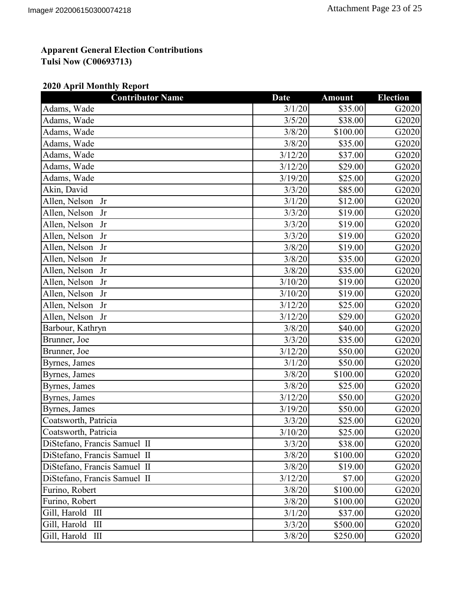### **2020 April Monthly Report**

| <b>Contributor Name</b>      | Date    | <b>Amount</b> | <b>Election</b> |
|------------------------------|---------|---------------|-----------------|
| Adams, Wade                  | 3/1/20  | \$35.00       | G2020           |
| Adams, Wade                  | 3/5/20  | \$38.00       | G2020           |
| Adams, Wade                  | 3/8/20  | \$100.00      | G2020           |
| Adams, Wade                  | 3/8/20  | \$35.00       | G2020           |
| Adams, Wade                  | 3/12/20 | \$37.00       | G2020           |
| Adams, Wade                  | 3/12/20 | \$29.00       | G2020           |
| Adams, Wade                  | 3/19/20 | \$25.00       | G2020           |
| Akin, David                  | 3/3/20  | \$85.00       | G2020           |
| Allen, Nelson<br>Jr          | 3/1/20  | \$12.00       | G2020           |
| Allen, Nelson<br>Jr          | 3/3/20  | \$19.00       | G2020           |
| Allen, Nelson<br>Jr          | 3/3/20  | \$19.00       | G2020           |
| Allen, Nelson<br>Jr          | 3/3/20  | \$19.00       | G2020           |
| Allen, Nelson<br>Jr          | 3/8/20  | \$19.00       | G2020           |
| Allen, Nelson<br>Jr          | 3/8/20  | \$35.00       | G2020           |
| Allen, Nelson Jr             | 3/8/20  | \$35.00       | G2020           |
| Allen, Nelson<br>Jr          | 3/10/20 | \$19.00       | G2020           |
| Allen, Nelson<br>Jr          | 3/10/20 | \$19.00       | G2020           |
| Allen, Nelson<br>Jr          | 3/12/20 | \$25.00       | G2020           |
| Allen, Nelson Jr             | 3/12/20 | \$29.00       | G2020           |
| Barbour, Kathryn             | 3/8/20  | \$40.00       | G2020           |
| Brunner, Joe                 | 3/3/20  | \$35.00       | G2020           |
| Brunner, Joe                 | 3/12/20 | \$50.00       | G2020           |
| Byrnes, James                | 3/1/20  | \$50.00       | G2020           |
| Byrnes, James                | 3/8/20  | \$100.00      | G2020           |
| Byrnes, James                | 3/8/20  | \$25.00       | G2020           |
| Byrnes, James                | 3/12/20 | \$50.00       | G2020           |
| Byrnes, James                | 3/19/20 | \$50.00       | G2020           |
| Coatsworth, Patricia         | 3/3/20  | \$25.00       | G2020           |
| Coatsworth, Patricia         | 3/10/20 | \$25.00       | G2020           |
| DiStefano, Francis Samuel II | 3/3/20  | \$38.00       | G2020           |
| DiStefano, Francis Samuel II | 3/8/20  | \$100.00      | G2020           |
| DiStefano, Francis Samuel II | 3/8/20  | \$19.00       | G2020           |
| DiStefano, Francis Samuel II | 3/12/20 | \$7.00        | G2020           |
| Furino, Robert               | 3/8/20  | \$100.00      | G2020           |
| Furino, Robert               | 3/8/20  | \$100.00      | G2020           |
| Gill, Harold III             | 3/1/20  | \$37.00       | G2020           |
| Gill, Harold III             | 3/3/20  | \$500.00      | G2020           |
| Gill, Harold III             | 3/8/20  | \$250.00      | G2020           |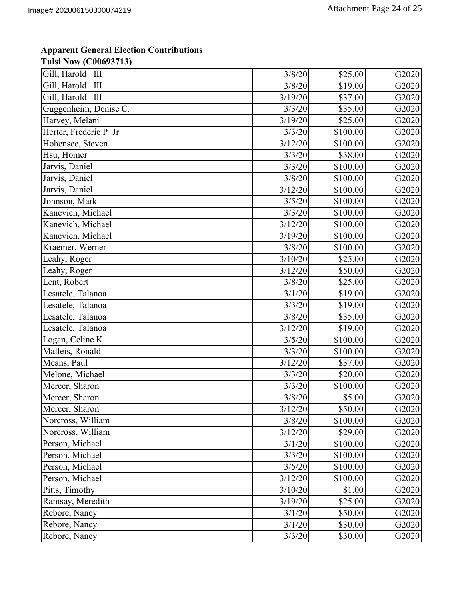| Gill, Harold III      | 3/8/20  | \$25.00  | G2020 |
|-----------------------|---------|----------|-------|
| Gill, Harold<br>Ш     | 3/8/20  | \$19.00  | G2020 |
| Gill, Harold III      | 3/19/20 | \$37.00  | G2020 |
| Guggenheim, Denise C. | 3/3/20  | \$35.00  | G2020 |
| Harvey, Melani        | 3/19/20 | \$25.00  | G2020 |
| Herter, Frederic P Jr | 3/3/20  | \$100.00 | G2020 |
| Hohensee, Steven      | 3/12/20 | \$100.00 | G2020 |
| Hsu, Homer            | 3/3/20  | \$38.00  | G2020 |
| Jarvis, Daniel        | 3/3/20  | \$100.00 | G2020 |
| Jarvis, Daniel        | 3/8/20  | \$100.00 | G2020 |
| Jarvis, Daniel        | 3/12/20 | \$100.00 | G2020 |
| Johnson, Mark         | 3/5/20  | \$100.00 | G2020 |
| Kanevich, Michael     | 3/3/20  | \$100.00 | G2020 |
| Kanevich, Michael     | 3/12/20 | \$100.00 | G2020 |
| Kanevich, Michael     | 3/19/20 | \$100.00 | G2020 |
| Kraemer, Werner       | 3/8/20  | \$100.00 | G2020 |
| Leahy, Roger          | 3/10/20 | \$25.00  | G2020 |
| Leahy, Roger          | 3/12/20 | \$50.00  | G2020 |
| Lent, Robert          | 3/8/20  | \$25.00  | G2020 |
| Lesatele, Talanoa     | 3/1/20  | \$19.00  | G2020 |
| Lesatele, Talanoa     | 3/3/20  | \$19.00  | G2020 |
| Lesatele, Talanoa     | 3/8/20  | \$35.00  | G2020 |
| Lesatele, Talanoa     | 3/12/20 | \$19.00  | G2020 |
| Logan, Celine K       | 3/5/20  | \$100.00 | G2020 |
| Malleis, Ronald       | 3/3/20  | \$100.00 | G2020 |
| Means, Paul           | 3/12/20 | \$37.00  | G2020 |
| Melone, Michael       | 3/3/20  | \$20.00  | G2020 |
| Mercer, Sharon        | 3/3/20  | \$100.00 | G2020 |
| Mercer, Sharon        | 3/8/20  | \$5.00   | G2020 |
| Mercer, Sharon        | 3/12/20 | \$50.00  | G2020 |
| Norcross, William     | 3/8/20  | \$100.00 | G2020 |
| Norcross, William     | 3/12/20 | \$29.00  | G2020 |
| Person, Michael       | 3/1/20  | \$100.00 | G2020 |
| Person, Michael       | 3/3/20  | \$100.00 | G2020 |
| Person, Michael       | 3/5/20  | \$100.00 | G2020 |
| Person, Michael       | 3/12/20 | \$100.00 | G2020 |
| Pitts, Timothy        | 3/10/20 | \$1.00   | G2020 |
| Ramsay, Meredith      | 3/19/20 | \$25.00  | G2020 |
| Rebore, Nancy         | 3/1/20  | \$50.00  | G2020 |
| Rebore, Nancy         | 3/1/20  | \$30.00  | G2020 |
| Rebore, Nancy         | 3/3/20  | \$30.00  | G2020 |